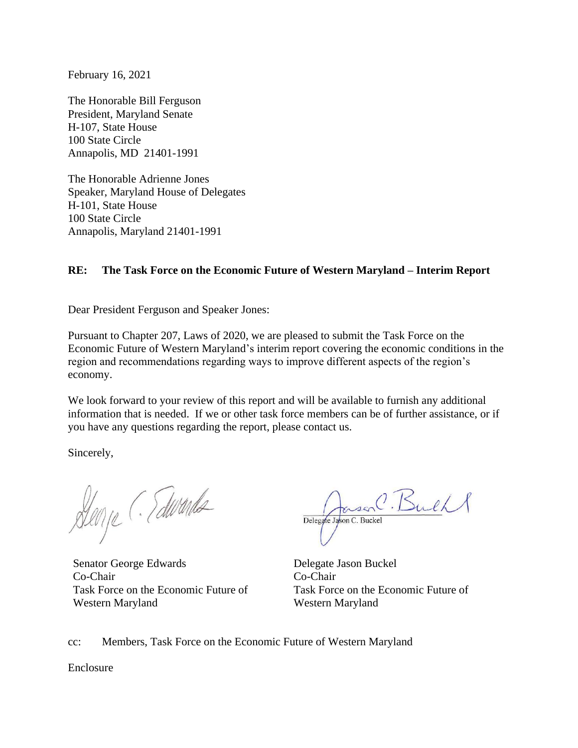February 16, 2021

The Honorable Bill Ferguson President, Maryland Senate H-107, State House 100 State Circle Annapolis, MD 21401-1991

The Honorable Adrienne Jones Speaker, Maryland House of Delegates H-101, State House 100 State Circle Annapolis, Maryland 21401-1991

### **RE: The Task Force on the Economic Future of Western Maryland – Interim Report**

Dear President Ferguson and Speaker Jones:

Pursuant to Chapter 207, Laws of 2020, we are pleased to submit the Task Force on the Economic Future of Western Maryland's interim report covering the economic conditions in the region and recommendations regarding ways to improve different aspects of the region's economy.

We look forward to your review of this report and will be available to furnish any additional information that is needed. If we or other task force members can be of further assistance, or if you have any questions regarding the report, please contact us.

Sincerely,

Denje (Talurands

Senator George Edwards Delegate Jason Buckel Co-Chair Co-Chair Task Force on the Economic Future of Western Maryland

Delegate Jason C. Buckel

Task Force on the Economic Future of Western Maryland

cc: Members, Task Force on the Economic Future of Western Maryland

Enclosure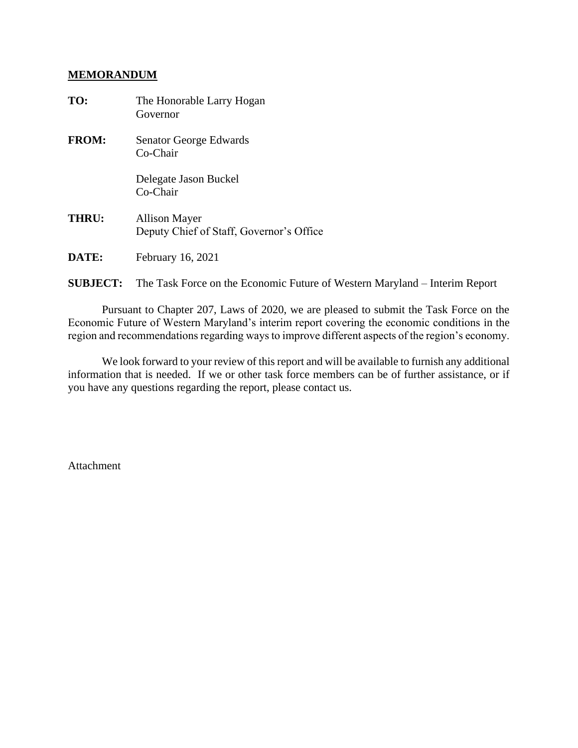#### **MEMORANDUM**

| TO:          | The Honorable Larry Hogan<br>Governor                            |
|--------------|------------------------------------------------------------------|
| <b>FROM:</b> | Senator George Edwards<br>Co-Chair                               |
|              | Delegate Jason Buckel<br>$Co-Chair$                              |
| THRU:        | <b>Allison Mayer</b><br>Deputy Chief of Staff, Governor's Office |
| DATE:        | February 16, 2021                                                |

**SUBJECT:** The Task Force on the Economic Future of Western Maryland – Interim Report

Pursuant to Chapter 207, Laws of 2020, we are pleased to submit the Task Force on the Economic Future of Western Maryland's interim report covering the economic conditions in the region and recommendations regarding ways to improve different aspects of the region's economy.

We look forward to your review of this report and will be available to furnish any additional information that is needed. If we or other task force members can be of further assistance, or if you have any questions regarding the report, please contact us.

Attachment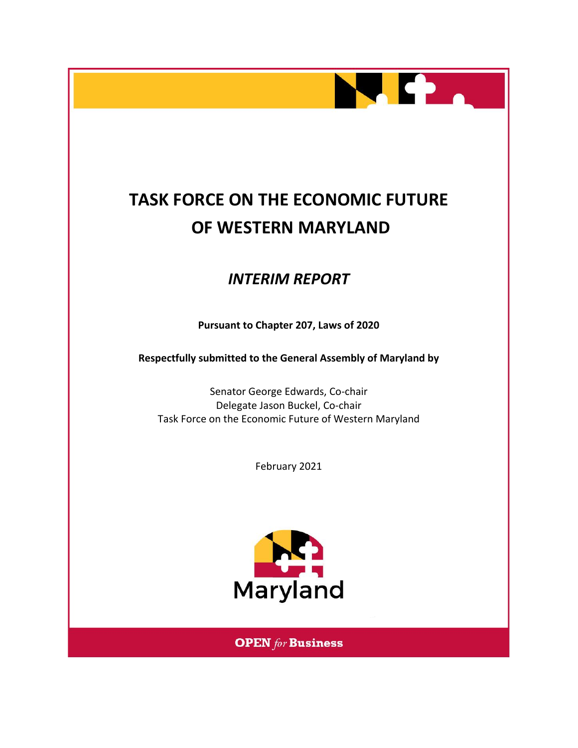

# **TASK FORCE ON THE ECONOMIC FUTURE OF WESTERN MARYLAND**

## *INTERIM REPORT*

**Pursuant to Chapter 207, Laws of 2020**

**Respectfully submitted to the General Assembly of Maryland by**

Senator George Edwards, Co-chair Delegate Jason Buckel, Co-chair Task Force on the Economic Future of Western Maryland

February 2021



**OPEN** for Business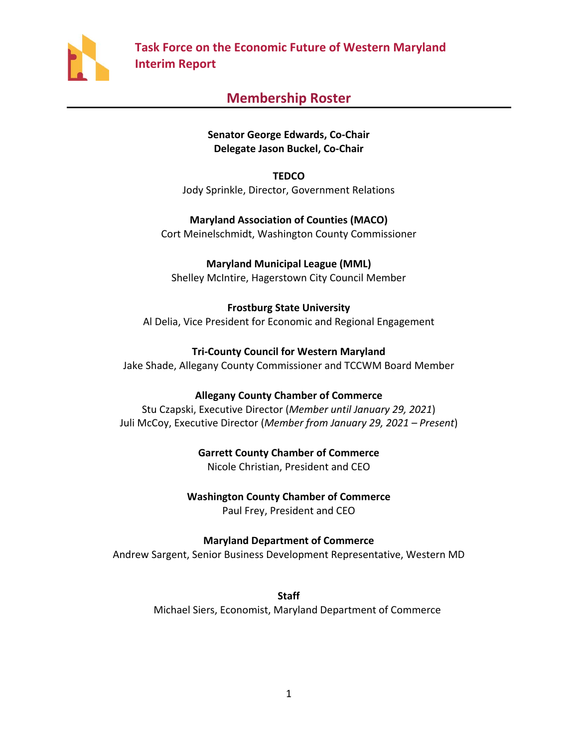

## **Membership Roster**

### **Senator George Edwards, Co-Chair Delegate Jason Buckel, Co-Chair**

**TEDCO** Jody Sprinkle, Director, Government Relations

**Maryland Association of Counties (MACO)** Cort Meinelschmidt, Washington County Commissioner

**Maryland Municipal League (MML)** Shelley McIntire, Hagerstown City Council Member

**Frostburg State University** Al Delia, Vice President for Economic and Regional Engagement

**Tri-County Council for Western Maryland** Jake Shade, Allegany County Commissioner and TCCWM Board Member

### **Allegany County Chamber of Commerce**

Stu Czapski, Executive Director (*Member until January 29, 2021*) Juli McCoy, Executive Director (*Member from January 29, 2021 – Present*)

**Garrett County Chamber of Commerce**

Nicole Christian, President and CEO

**Washington County Chamber of Commerce** Paul Frey, President and CEO

**Maryland Department of Commerce**

Andrew Sargent, Senior Business Development Representative, Western MD

**Staff**  Michael Siers, Economist, Maryland Department of Commerce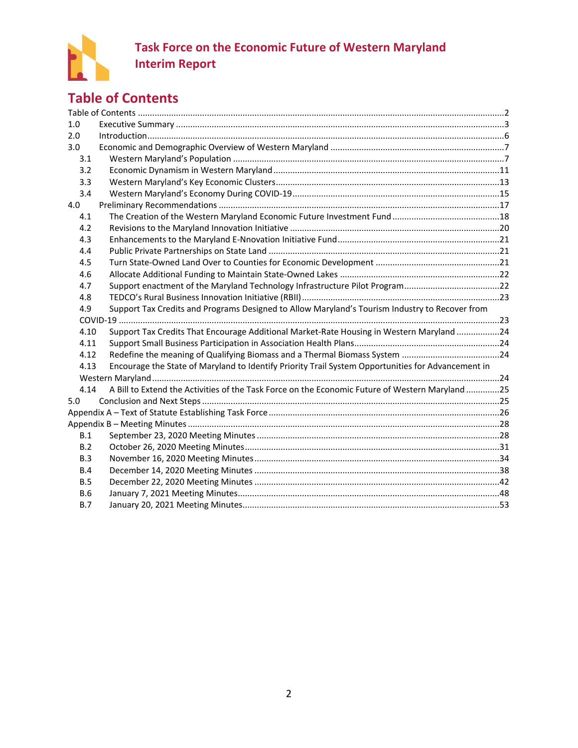

## <span id="page-4-0"></span>**Table of Contents**

| 1.0        |                                                                                                    |  |
|------------|----------------------------------------------------------------------------------------------------|--|
| 2.0        |                                                                                                    |  |
| 3.0        |                                                                                                    |  |
| 3.1        |                                                                                                    |  |
| 3.2        |                                                                                                    |  |
| 3.3        |                                                                                                    |  |
| 3.4        |                                                                                                    |  |
| 4.0        |                                                                                                    |  |
| 4.1        |                                                                                                    |  |
| 4.2        |                                                                                                    |  |
| 4.3        |                                                                                                    |  |
| 4.4        |                                                                                                    |  |
| 4.5        |                                                                                                    |  |
| 4.6        |                                                                                                    |  |
| 4.7        | Support enactment of the Maryland Technology Infrastructure Pilot Program22                        |  |
| 4.8        |                                                                                                    |  |
| 4.9        | Support Tax Credits and Programs Designed to Allow Maryland's Tourism Industry to Recover from     |  |
|            |                                                                                                    |  |
| 4.10       | Support Tax Credits That Encourage Additional Market-Rate Housing in Western Maryland 24           |  |
| 4.11       |                                                                                                    |  |
| 4.12       |                                                                                                    |  |
| 4.13       | Encourage the State of Maryland to Identify Priority Trail System Opportunities for Advancement in |  |
|            |                                                                                                    |  |
| 4.14       | A Bill to Extend the Activities of the Task Force on the Economic Future of Western Maryland25     |  |
| 5.0        |                                                                                                    |  |
|            |                                                                                                    |  |
|            |                                                                                                    |  |
| B.1        |                                                                                                    |  |
| B.2        |                                                                                                    |  |
| B.3        |                                                                                                    |  |
| B.4        |                                                                                                    |  |
| <b>B.5</b> |                                                                                                    |  |
| <b>B.6</b> |                                                                                                    |  |
| B.7        |                                                                                                    |  |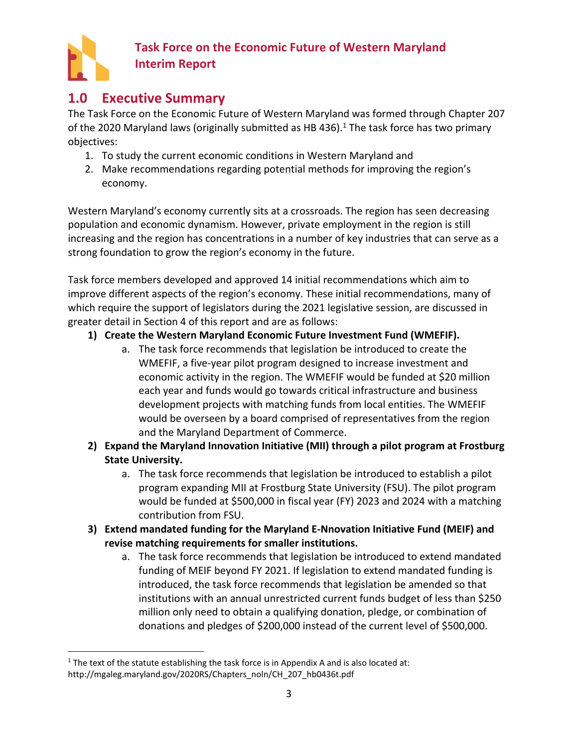

## <span id="page-5-0"></span>**1.0 Executive Summary**

The Task Force on the Economic Future of Western Maryland was formed through Chapter 207 of the 2020 Maryland laws (originally submitted as HB 436).<sup>1</sup> The task force has two primary objectives:

- 1. To study the current economic conditions in Western Maryland and
- 2. Make recommendations regarding potential methods for improving the region's economy.

Western Maryland's economy currently sits at a crossroads. The region has seen decreasing population and economic dynamism. However, private employment in the region is still increasing and the region has concentrations in a number of key industries that can serve as a strong foundation to grow the region's economy in the future.

Task force members developed and approved 14 initial recommendations which aim to improve different aspects of the region's economy. These initial recommendations, many of which require the support of legislators during the 2021 legislative session, are discussed in greater detail in Section 4 of this report and are as follows:

## **1) Create the Western Maryland Economic Future Investment Fund (WMEFIF).**

- a. The task force recommends that legislation be introduced to create the WMEFIF, a five-year pilot program designed to increase investment and economic activity in the region. The WMEFIF would be funded at \$20 million each year and funds would go towards critical infrastructure and business development projects with matching funds from local entities. The WMEFIF would be overseen by a board comprised of representatives from the region and the Maryland Department of Commerce.
- **2) Expand the Maryland Innovation Initiative (MII) through a pilot program at Frostburg State University.**
	- a. The task force recommends that legislation be introduced to establish a pilot program expanding MII at Frostburg State University (FSU). The pilot program would be funded at \$500,000 in fiscal year (FY) 2023 and 2024 with a matching contribution from FSU.
- **3) Extend mandated funding for the Maryland E-Nnovation Initiative Fund (MEIF) and revise matching requirements for smaller institutions.**
	- a. The task force recommends that legislation be introduced to extend mandated funding of MEIF beyond FY 2021. If legislation to extend mandated funding is introduced, the task force recommends that legislation be amended so that institutions with an annual unrestricted current funds budget of less than \$250 million only need to obtain a qualifying donation, pledge, or combination of donations and pledges of \$200,000 instead of the current level of \$500,000.

<sup>&</sup>lt;sup>1</sup> The text of the statute establishing the task force is in Appendix A and is also located at: http://mgaleg.maryland.gov/2020RS/Chapters\_noln/CH\_207\_hb0436t.pdf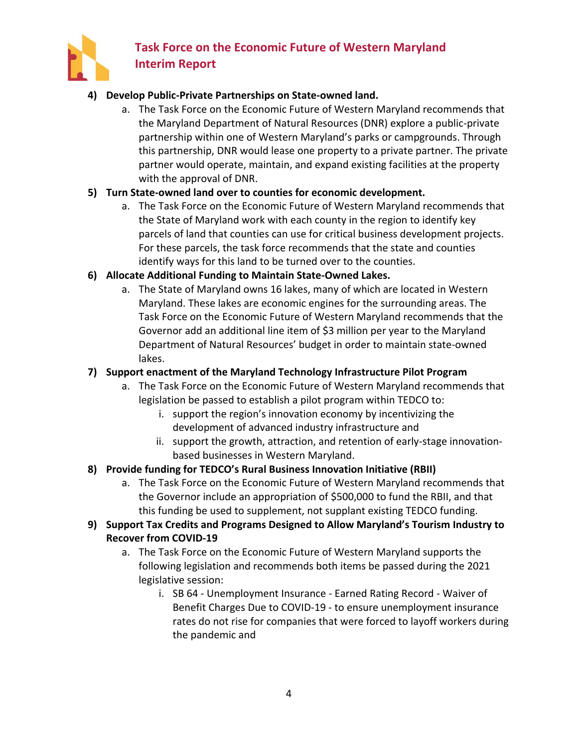

### **4) Develop Public-Private Partnerships on State-owned land.**

a. The Task Force on the Economic Future of Western Maryland recommends that the Maryland Department of Natural Resources (DNR) explore a public-private partnership within one of Western Maryland's parks or campgrounds. Through this partnership, DNR would lease one property to a private partner. The private partner would operate, maintain, and expand existing facilities at the property with the approval of DNR.

### **5) Turn State-owned land over to counties for economic development.**

a. The Task Force on the Economic Future of Western Maryland recommends that the State of Maryland work with each county in the region to identify key parcels of land that counties can use for critical business development projects. For these parcels, the task force recommends that the state and counties identify ways for this land to be turned over to the counties.

### **6) Allocate Additional Funding to Maintain State-Owned Lakes.**

a. The State of Maryland owns 16 lakes, many of which are located in Western Maryland. These lakes are economic engines for the surrounding areas. The Task Force on the Economic Future of Western Maryland recommends that the Governor add an additional line item of \$3 million per year to the Maryland Department of Natural Resources' budget in order to maintain state-owned lakes.

### **7) Support enactment of the Maryland Technology Infrastructure Pilot Program**

- a. The Task Force on the Economic Future of Western Maryland recommends that legislation be passed to establish a pilot program within TEDCO to:
	- i. support the region's innovation economy by incentivizing the development of advanced industry infrastructure and
	- ii. support the growth, attraction, and retention of early-stage innovationbased businesses in Western Maryland.

### **8) Provide funding for TEDCO's Rural Business Innovation Initiative (RBII)**

a. The Task Force on the Economic Future of Western Maryland recommends that the Governor include an appropriation of \$500,000 to fund the RBII, and that this funding be used to supplement, not supplant existing TEDCO funding.

### **9) Support Tax Credits and Programs Designed to Allow Maryland's Tourism Industry to Recover from COVID-19**

- a. The Task Force on the Economic Future of Western Maryland supports the following legislation and recommends both items be passed during the 2021 legislative session:
	- i. SB 64 Unemployment Insurance Earned Rating Record Waiver of Benefit Charges Due to COVID-19 - to ensure unemployment insurance rates do not rise for companies that were forced to layoff workers during the pandemic and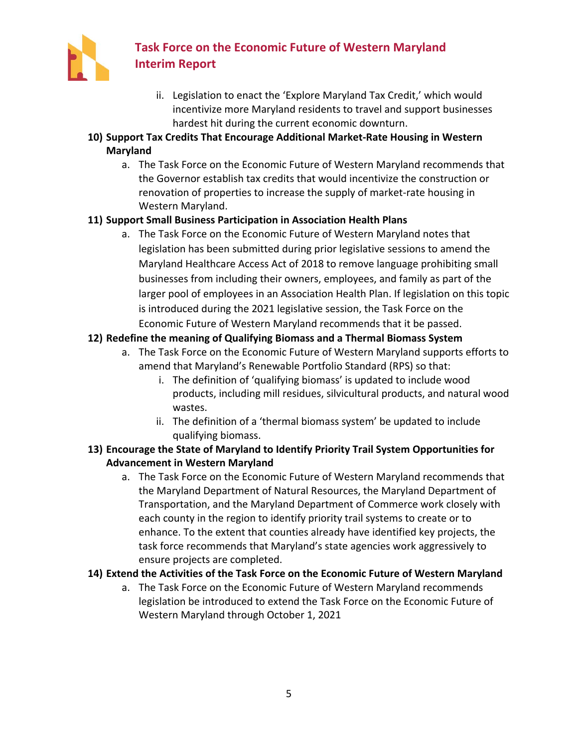

- ii. Legislation to enact the 'Explore Maryland Tax Credit,' which would incentivize more Maryland residents to travel and support businesses hardest hit during the current economic downturn.
- **10) Support Tax Credits That Encourage Additional Market-Rate Housing in Western Maryland**
	- a. The Task Force on the Economic Future of Western Maryland recommends that the Governor establish tax credits that would incentivize the construction or renovation of properties to increase the supply of market-rate housing in Western Maryland.

## **11) Support Small Business Participation in Association Health Plans**

a. The Task Force on the Economic Future of Western Maryland notes that legislation has been submitted during prior legislative sessions to amend the Maryland Healthcare Access Act of 2018 to remove language prohibiting small businesses from including their owners, employees, and family as part of the larger pool of employees in an Association Health Plan. If legislation on this topic is introduced during the 2021 legislative session, the Task Force on the Economic Future of Western Maryland recommends that it be passed.

## **12) Redefine the meaning of Qualifying Biomass and a Thermal Biomass System**

- a. The Task Force on the Economic Future of Western Maryland supports efforts to amend that Maryland's Renewable Portfolio Standard (RPS) so that:
	- i. The definition of 'qualifying biomass' is updated to include wood products, including mill residues, silvicultural products, and natural wood wastes.
	- ii. The definition of a 'thermal biomass system' be updated to include qualifying biomass.
- **13) Encourage the State of Maryland to Identify Priority Trail System Opportunities for Advancement in Western Maryland**
	- a. The Task Force on the Economic Future of Western Maryland recommends that the Maryland Department of Natural Resources, the Maryland Department of Transportation, and the Maryland Department of Commerce work closely with each county in the region to identify priority trail systems to create or to enhance. To the extent that counties already have identified key projects, the task force recommends that Maryland's state agencies work aggressively to ensure projects are completed.

### **14) Extend the Activities of the Task Force on the Economic Future of Western Maryland**

a. The Task Force on the Economic Future of Western Maryland recommends legislation be introduced to extend the Task Force on the Economic Future of Western Maryland through October 1, 2021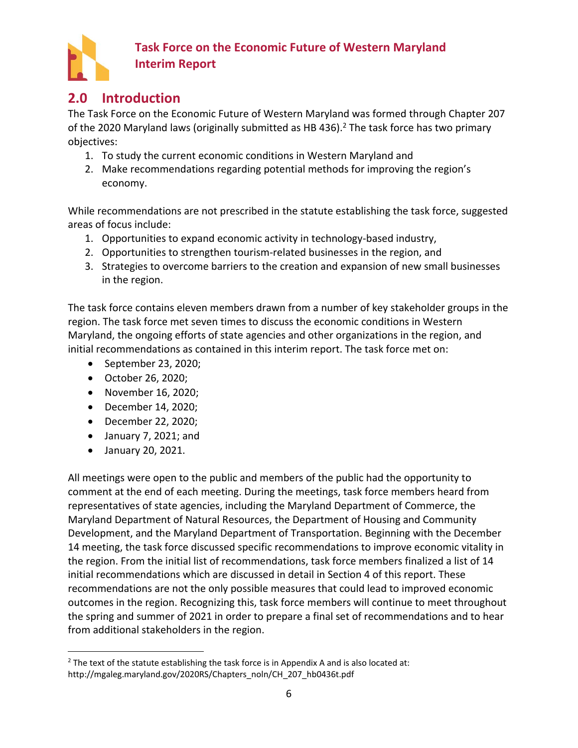

## <span id="page-8-0"></span>**2.0 Introduction**

The Task Force on the Economic Future of Western Maryland was formed through Chapter 207 of the 2020 Maryland laws (originally submitted as HB 436). <sup>2</sup> The task force has two primary objectives:

- 1. To study the current economic conditions in Western Maryland and
- 2. Make recommendations regarding potential methods for improving the region's economy.

While recommendations are not prescribed in the statute establishing the task force, suggested areas of focus include:

- 1. Opportunities to expand economic activity in technology-based industry,
- 2. Opportunities to strengthen tourism-related businesses in the region, and
- 3. Strategies to overcome barriers to the creation and expansion of new small businesses in the region.

The task force contains eleven members drawn from a number of key stakeholder groups in the region. The task force met seven times to discuss the economic conditions in Western Maryland, the ongoing efforts of state agencies and other organizations in the region, and initial recommendations as contained in this interim report. The task force met on:

- September 23, 2020;
- October 26, 2020;
- November 16, 2020;
- December 14, 2020;
- December 22, 2020;
- January 7, 2021; and
- January 20, 2021.

All meetings were open to the public and members of the public had the opportunity to comment at the end of each meeting. During the meetings, task force members heard from representatives of state agencies, including the Maryland Department of Commerce, the Maryland Department of Natural Resources, the Department of Housing and Community Development, and the Maryland Department of Transportation. Beginning with the December 14 meeting, the task force discussed specific recommendations to improve economic vitality in the region. From the initial list of recommendations, task force members finalized a list of 14 initial recommendations which are discussed in detail in Section 4 of this report. These recommendations are not the only possible measures that could lead to improved economic outcomes in the region. Recognizing this, task force members will continue to meet throughout the spring and summer of 2021 in order to prepare a final set of recommendations and to hear from additional stakeholders in the region.

 $2$  The text of the statute establishing the task force is in Appendix A and is also located at: http://mgaleg.maryland.gov/2020RS/Chapters\_noln/CH\_207\_hb0436t.pdf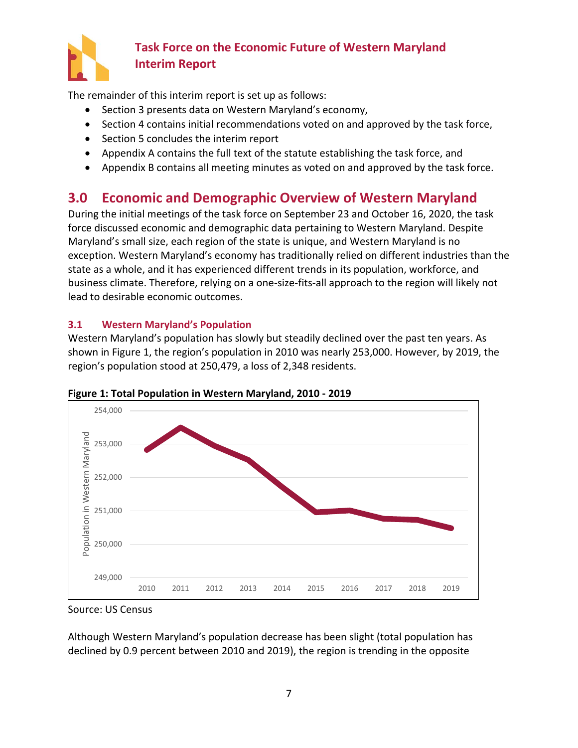

The remainder of this interim report is set up as follows:

- Section 3 presents data on Western Maryland's economy,
- Section 4 contains initial recommendations voted on and approved by the task force,
- Section 5 concludes the interim report
- Appendix A contains the full text of the statute establishing the task force, and
- Appendix B contains all meeting minutes as voted on and approved by the task force.

## <span id="page-9-0"></span>**3.0 Economic and Demographic Overview of Western Maryland**

During the initial meetings of the task force on September 23 and October 16, 2020, the task force discussed economic and demographic data pertaining to Western Maryland. Despite Maryland's small size, each region of the state is unique, and Western Maryland is no exception. Western Maryland's economy has traditionally relied on different industries than the state as a whole, and it has experienced different trends in its population, workforce, and business climate. Therefore, relying on a one-size-fits-all approach to the region will likely not lead to desirable economic outcomes.

## <span id="page-9-1"></span>**3.1 Western Maryland's Population**

Western Maryland's population has slowly but steadily declined over the past ten years. As shown in [Figure 1](#page-9-2), the region's population in 2010 was nearly 253,000. However, by 2019, the region's population stood at 250,479, a loss of 2,348 residents.



<span id="page-9-2"></span>**Figure 1: Total Population in Western Maryland, 2010 - 2019**

Source: US Census

Although Western Maryland's population decrease has been slight (total population has declined by 0.9 percent between 2010 and 2019), the region is trending in the opposite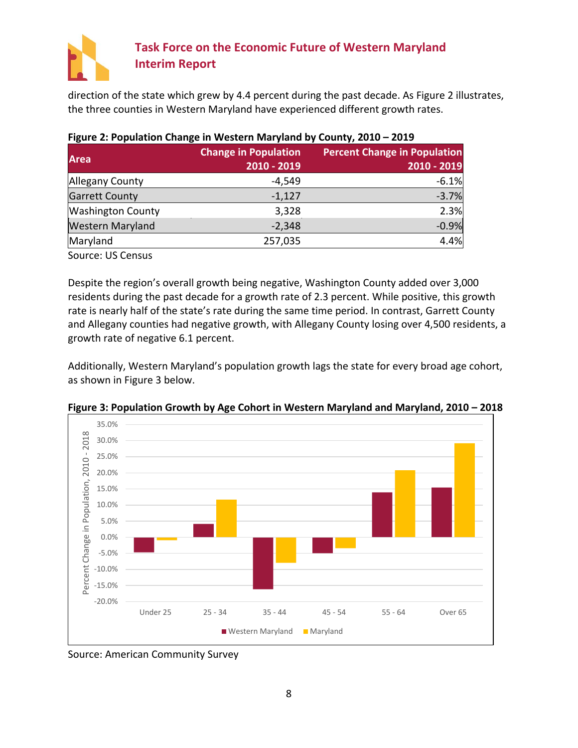

direction of the state which grew by 4.4 percent during the past decade. As [Figure 2](#page-10-0) illustrates, the three counties in Western Maryland have experienced different growth rates.

| <b>Area</b>              | <b>Change in Population</b> | <b>Percent Change in Population</b> |
|--------------------------|-----------------------------|-------------------------------------|
|                          | 2010 - 2019                 | 2010 - 2019                         |
| Allegany County          | -4,549                      | $-6.1%$                             |
| <b>Garrett County</b>    | $-1,127$                    | $-3.7%$                             |
| <b>Washington County</b> | 3,328                       | 2.3%                                |
| <b>Western Maryland</b>  | $-2,348$                    | $-0.9%$                             |
| Maryland                 | 257,035                     | 4.4%                                |
| Source: US Census        |                             |                                     |

## <span id="page-10-0"></span>**Figure 2: Population Change in Western Maryland by County, 2010 – 2019**

Despite the region's overall growth being negative, Washington County added over 3,000 residents during the past decade for a growth rate of 2.3 percent. While positive, this growth rate is nearly half of the state's rate during the same time period. In contrast, Garrett County and Allegany counties had negative growth, with Allegany County losing over 4,500 residents, a growth rate of negative 6.1 percent.

Additionally, Western Maryland's population growth lags the state for every broad age cohort, as shown in [Figure 3](#page-10-1) below.



<span id="page-10-1"></span>**Figure 3: Population Growth by Age Cohort in Western Maryland and Maryland, 2010 – 2018**

Source: American Community Survey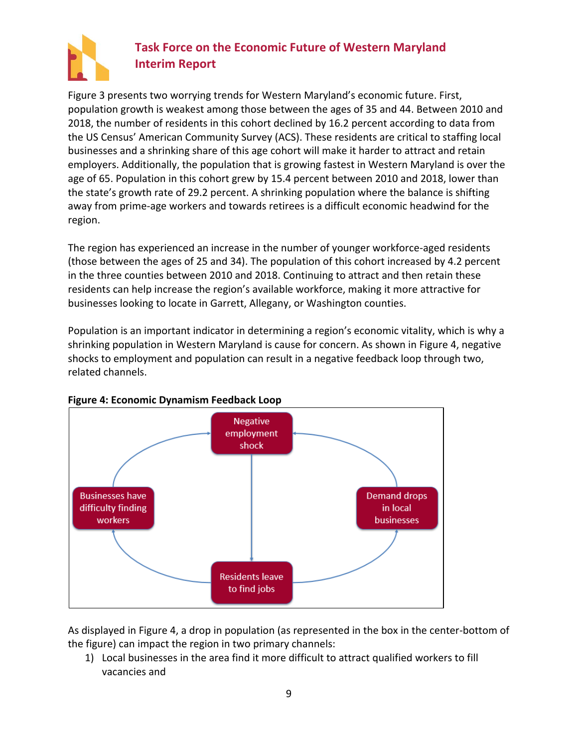

[Figure 3](#page-10-1) presents two worrying trends for Western Maryland's economic future. First, population growth is weakest among those between the ages of 35 and 44. Between 2010 and 2018, the number of residents in this cohort declined by 16.2 percent according to data from the US Census' American Community Survey (ACS). These residents are critical to staffing local businesses and a shrinking share of this age cohort will make it harder to attract and retain employers. Additionally, the population that is growing fastest in Western Maryland is over the age of 65. Population in this cohort grew by 15.4 percent between 2010 and 2018, lower than the state's growth rate of 29.2 percent. A shrinking population where the balance is shifting away from prime-age workers and towards retirees is a difficult economic headwind for the region.

The region has experienced an increase in the number of younger workforce-aged residents (those between the ages of 25 and 34). The population of this cohort increased by 4.2 percent in the three counties between 2010 and 2018. Continuing to attract and then retain these residents can help increase the region's available workforce, making it more attractive for businesses looking to locate in Garrett, Allegany, or Washington counties.

Population is an important indicator in determining a region's economic vitality, which is why a shrinking population in Western Maryland is cause for concern. As shown in [Figure 4,](#page-11-0) negative shocks to employment and population can result in a negative feedback loop through two, related channels.



### <span id="page-11-0"></span>**Figure 4: Economic Dynamism Feedback Loop**

As displayed in [Figure 4,](#page-11-0) a drop in population (as represented in the box in the center-bottom of the figure) can impact the region in two primary channels:

1) Local businesses in the area find it more difficult to attract qualified workers to fill vacancies and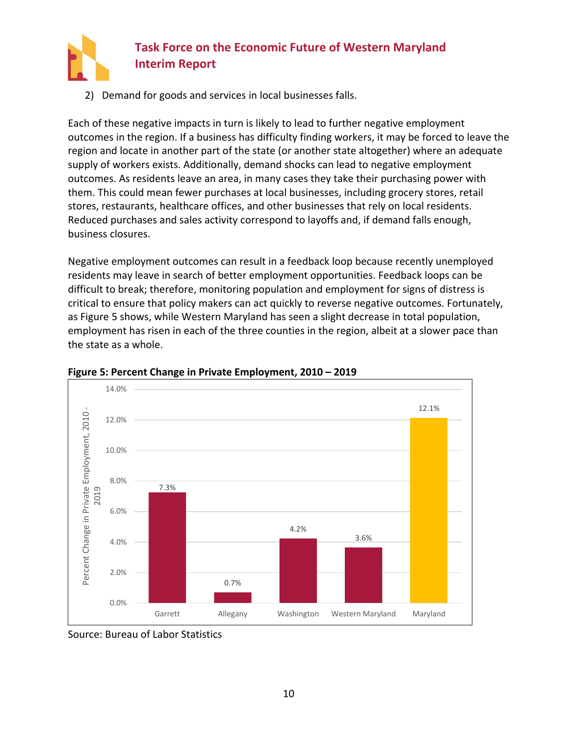

2) Demand for goods and services in local businesses falls.

Each of these negative impacts in turn is likely to lead to further negative employment outcomes in the region. If a business has difficulty finding workers, it may be forced to leave the region and locate in another part of the state (or another state altogether) where an adequate supply of workers exists. Additionally, demand shocks can lead to negative employment outcomes. As residents leave an area, in many cases they take their purchasing power with them. This could mean fewer purchases at local businesses, including grocery stores, retail stores, restaurants, healthcare offices, and other businesses that rely on local residents. Reduced purchases and sales activity correspond to layoffs and, if demand falls enough, business closures.

Negative employment outcomes can result in a feedback loop because recently unemployed residents may leave in search of better employment opportunities. Feedback loops can be difficult to break; therefore, monitoring population and employment for signs of distress is critical to ensure that policy makers can act quickly to reverse negative outcomes. Fortunately, as [Figure 5](#page-12-0) shows, while Western Maryland has seen a slight decrease in total population, employment has risen in each of the three counties in the region, albeit at a slower pace than the state as a whole.



<span id="page-12-0"></span>**Figure 5: Percent Change in Private Employment, 2010 – 2019**

Source: Bureau of Labor Statistics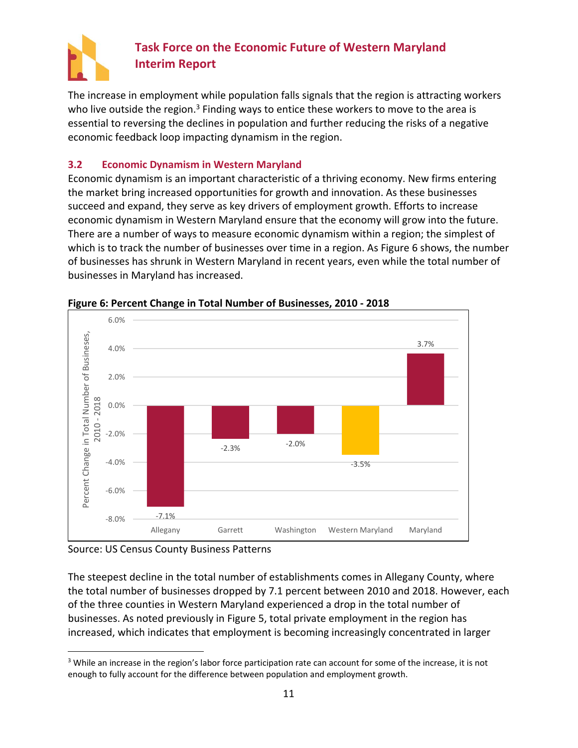

The increase in employment while population falls signals that the region is attracting workers who live outside the region.<sup>3</sup> Finding ways to entice these workers to move to the area is essential to reversing the declines in population and further reducing the risks of a negative economic feedback loop impacting dynamism in the region.

### <span id="page-13-0"></span>**3.2 Economic Dynamism in Western Maryland**

Economic dynamism is an important characteristic of a thriving economy. New firms entering the market bring increased opportunities for growth and innovation. As these businesses succeed and expand, they serve as key drivers of employment growth. Efforts to increase economic dynamism in Western Maryland ensure that the economy will grow into the future. There are a number of ways to measure economic dynamism within a region; the simplest of which is to track the number of businesses over time in a region. As [Figure 6](#page-13-1) shows, the number of businesses has shrunk in Western Maryland in recent years, even while the total number of businesses in Maryland has increased.



### <span id="page-13-1"></span>**Figure 6: Percent Change in Total Number of Businesses, 2010 - 2018**

Source: US Census County Business Patterns

The steepest decline in the total number of establishments comes in Allegany County, where the total number of businesses dropped by 7.1 percent between 2010 and 2018. However, each of the three counties in Western Maryland experienced a drop in the total number of businesses. As noted previously i[n Figure 5,](#page-12-0) total private employment in the region has increased, which indicates that employment is becoming increasingly concentrated in larger

<sup>&</sup>lt;sup>3</sup> While an increase in the region's labor force participation rate can account for some of the increase, it is not enough to fully account for the difference between population and employment growth.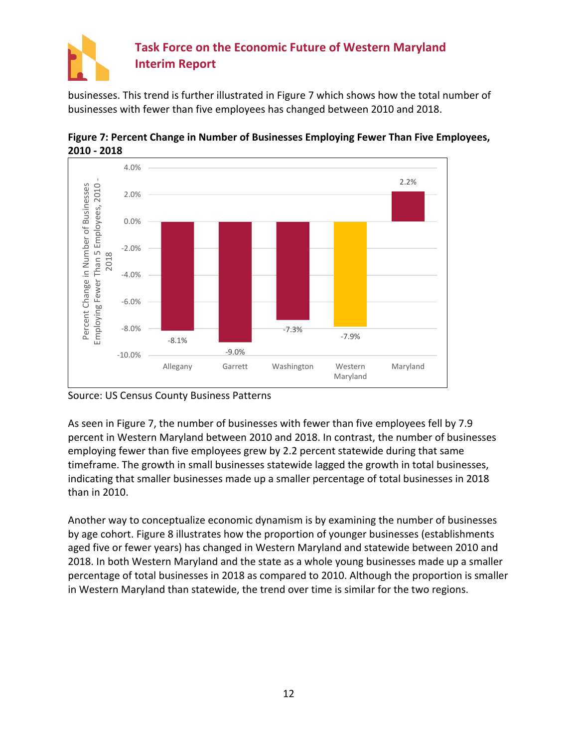

businesses. This trend is further illustrated in [Figure 7](#page-14-0) which shows how the total number of businesses with fewer than five employees has changed between 2010 and 2018.



<span id="page-14-0"></span>**Figure 7: Percent Change in Number of Businesses Employing Fewer Than Five Employees, 2010 - 2018**

Source: US Census County Business Patterns

As seen in [Figure 7,](#page-14-0) the number of businesses with fewer than five employees fell by 7.9 percent in Western Maryland between 2010 and 2018. In contrast, the number of businesses employing fewer than five employees grew by 2.2 percent statewide during that same timeframe. The growth in small businesses statewide lagged the growth in total businesses, indicating that smaller businesses made up a smaller percentage of total businesses in 2018 than in 2010.

Another way to conceptualize economic dynamism is by examining the number of businesses by age cohort. [Figure 8](#page-15-1) illustrates how the proportion of younger businesses (establishments aged five or fewer years) has changed in Western Maryland and statewide between 2010 and 2018. In both Western Maryland and the state as a whole young businesses made up a smaller percentage of total businesses in 2018 as compared to 2010. Although the proportion is smaller in Western Maryland than statewide, the trend over time is similar for the two regions.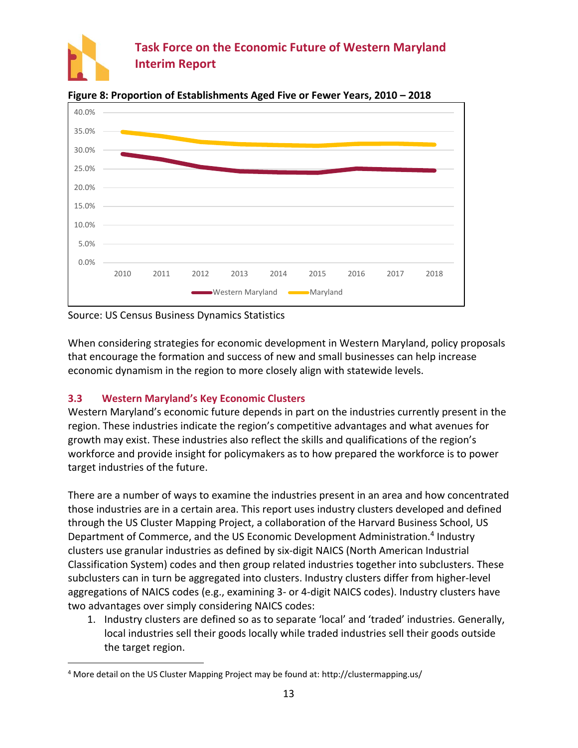



<span id="page-15-1"></span>**Figure 8: Proportion of Establishments Aged Five or Fewer Years, 2010 – 2018**

Source: US Census Business Dynamics Statistics

When considering strategies for economic development in Western Maryland, policy proposals that encourage the formation and success of new and small businesses can help increase economic dynamism in the region to more closely align with statewide levels.

### <span id="page-15-0"></span>**3.3 Western Maryland's Key Economic Clusters**

Western Maryland's economic future depends in part on the industries currently present in the region. These industries indicate the region's competitive advantages and what avenues for growth may exist. These industries also reflect the skills and qualifications of the region's workforce and provide insight for policymakers as to how prepared the workforce is to power target industries of the future.

There are a number of ways to examine the industries present in an area and how concentrated those industries are in a certain area. This report uses industry clusters developed and defined through the US Cluster Mapping Project, a collaboration of the Harvard Business School, US Department of Commerce, and the US Economic Development Administration.<sup>4</sup> Industry clusters use granular industries as defined by six-digit NAICS (North American Industrial Classification System) codes and then group related industries together into subclusters. These subclusters can in turn be aggregated into clusters. Industry clusters differ from higher-level aggregations of NAICS codes (e.g., examining 3- or 4-digit NAICS codes). Industry clusters have two advantages over simply considering NAICS codes:

1. Industry clusters are defined so as to separate 'local' and 'traded' industries. Generally, local industries sell their goods locally while traded industries sell their goods outside the target region.

<sup>4</sup> More detail on the US Cluster Mapping Project may be found at: http://clustermapping.us/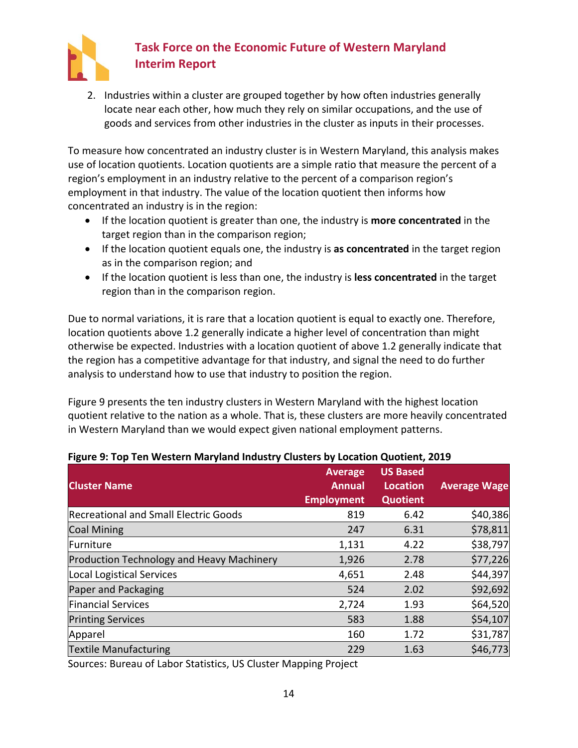

2. Industries within a cluster are grouped together by how often industries generally locate near each other, how much they rely on similar occupations, and the use of goods and services from other industries in the cluster as inputs in their processes.

To measure how concentrated an industry cluster is in Western Maryland, this analysis makes use of location quotients. Location quotients are a simple ratio that measure the percent of a region's employment in an industry relative to the percent of a comparison region's employment in that industry. The value of the location quotient then informs how concentrated an industry is in the region:

- If the location quotient is greater than one, the industry is **more concentrated** in the target region than in the comparison region;
- If the location quotient equals one, the industry is **as concentrated** in the target region as in the comparison region; and
- If the location quotient is less than one, the industry is **less concentrated** in the target region than in the comparison region.

Due to normal variations, it is rare that a location quotient is equal to exactly one. Therefore, location quotients above 1.2 generally indicate a higher level of concentration than might otherwise be expected. Industries with a location quotient of above 1.2 generally indicate that the region has a competitive advantage for that industry, and signal the need to do further analysis to understand how to use that industry to position the region.

[Figure 9](#page-16-0) presents the ten industry clusters in Western Maryland with the highest location quotient relative to the nation as a whole. That is, these clusters are more heavily concentrated in Western Maryland than we would expect given national employment patterns.

| <b>Cluster Name</b>                       | <b>Average</b><br><b>Annual</b><br><b>Employment</b> | <b>US Based</b><br>Location<br><b>Quotient</b> | <b>Average Wage</b> |
|-------------------------------------------|------------------------------------------------------|------------------------------------------------|---------------------|
| Recreational and Small Electric Goods     | 819                                                  | 6.42                                           | \$40,386            |
| <b>Coal Mining</b>                        | 247                                                  | 6.31                                           | \$78,811            |
| Furniture                                 | 1,131                                                | 4.22                                           | \$38,797            |
| Production Technology and Heavy Machinery | 1,926                                                | 2.78                                           | \$77,226            |
| Local Logistical Services                 | 4,651                                                | 2.48                                           | \$44,397            |
| Paper and Packaging                       | 524                                                  | 2.02                                           | \$92,692            |
| <b>Financial Services</b>                 | 2,724                                                | 1.93                                           | \$64,520            |
| <b>Printing Services</b>                  | 583                                                  | 1.88                                           | \$54,107            |
| Apparel                                   | 160                                                  | 1.72                                           | \$31,787            |
| <b>Textile Manufacturing</b>              | 229                                                  | 1.63                                           | \$46,773            |

#### <span id="page-16-0"></span>**Figure 9: Top Ten Western Maryland Industry Clusters by Location Quotient, 2019**

Sources: Bureau of Labor Statistics, US Cluster Mapping Project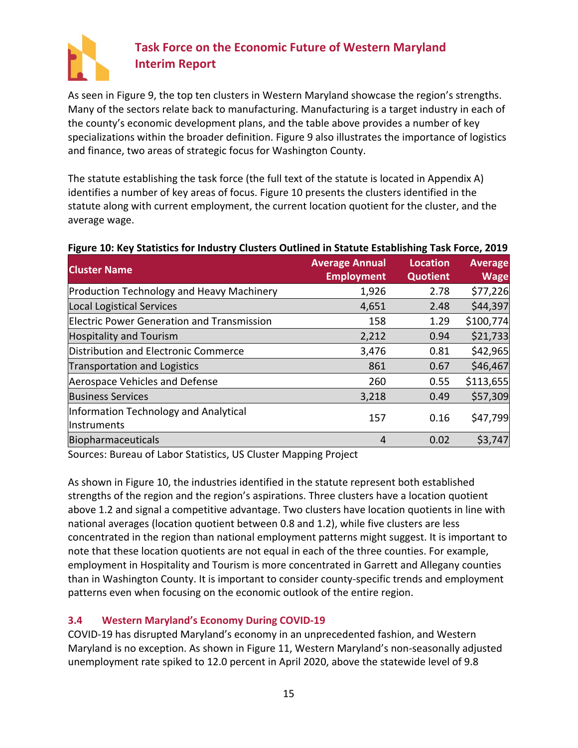

As seen in [Figure 9](#page-16-0), the top ten clusters in Western Maryland showcase the region's strengths. Many of the sectors relate back to manufacturing. Manufacturing is a target industry in each of the county's economic development plans, and the table above provides a number of key specializations within the broader definition. [Figure 9](#page-16-0) also illustrates the importance of logistics and finance, two areas of strategic focus for Washington County.

The statute establishing the task force (the full text of the statute is located in Appendix A) identifies a number of key areas of focus. [Figure 10](#page-17-1) presents the clusters identified in the statute along with current employment, the current location quotient for the cluster, and the average wage.

## <span id="page-17-1"></span>**Figure 10: Key Statistics for Industry Clusters Outlined in Statute Establishing Task Force, 2019**

| <b>Cluster Name</b>                                  | <b>Average Annual</b><br><b>Employment</b> | <b>Location</b><br><b>Quotient</b> | <b>Average</b><br><b>Wage</b> |
|------------------------------------------------------|--------------------------------------------|------------------------------------|-------------------------------|
| Production Technology and Heavy Machinery            | 1,926                                      | 2.78                               | \$77,226                      |
| Local Logistical Services                            | 4,651                                      | 2.48                               | \$44,397                      |
| <b>Electric Power Generation and Transmission</b>    | 158                                        | 1.29                               | \$100,774                     |
| <b>Hospitality and Tourism</b>                       | 2,212                                      | 0.94                               | \$21,733                      |
| Distribution and Electronic Commerce                 | 3,476                                      | 0.81                               | \$42,965                      |
| <b>Transportation and Logistics</b>                  | 861                                        | 0.67                               | \$46,467                      |
| Aerospace Vehicles and Defense                       | 260                                        | 0.55                               | \$113,655                     |
| <b>Business Services</b>                             | 3,218                                      | 0.49                               | \$57,309                      |
| Information Technology and Analytical<br>Instruments | 157                                        | 0.16                               | \$47,799                      |
| Biopharmaceuticals                                   | 4                                          | 0.02                               | \$3,747                       |

Sources: Bureau of Labor Statistics, US Cluster Mapping Project

As shown in [Figure 10,](#page-17-1) the industries identified in the statute represent both established strengths of the region and the region's aspirations. Three clusters have a location quotient above 1.2 and signal a competitive advantage. Two clusters have location quotients in line with national averages (location quotient between 0.8 and 1.2), while five clusters are less concentrated in the region than national employment patterns might suggest. It is important to note that these location quotients are not equal in each of the three counties. For example, employment in Hospitality and Tourism is more concentrated in Garrett and Allegany counties than in Washington County. It is important to consider county-specific trends and employment patterns even when focusing on the economic outlook of the entire region.

### <span id="page-17-0"></span>**3.4 Western Maryland's Economy During COVID-19**

COVID-19 has disrupted Maryland's economy in an unprecedented fashion, and Western Maryland is no exception. As shown in [Figure 11](#page-18-0), Western Maryland's non-seasonally adjusted unemployment rate spiked to 12.0 percent in April 2020, above the statewide level of 9.8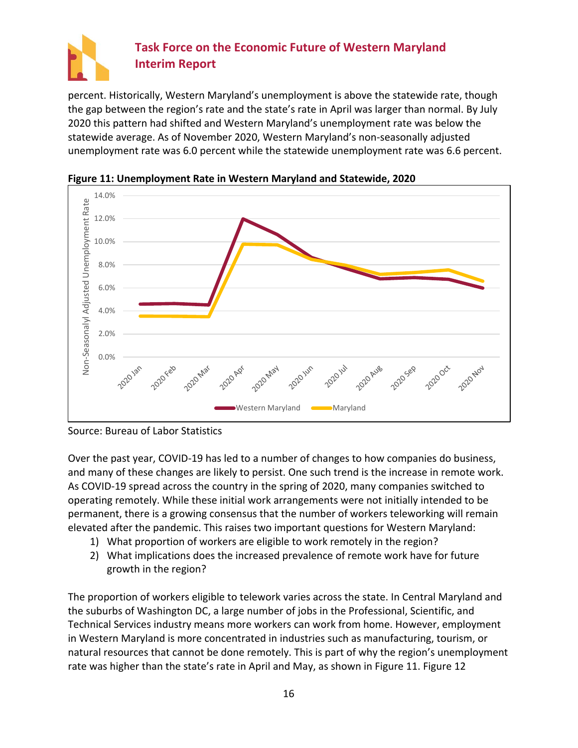

percent. Historically, Western Maryland's unemployment is above the statewide rate, though the gap between the region's rate and the state's rate in April was larger than normal. By July 2020 this pattern had shifted and Western Maryland's unemployment rate was below the statewide average. As of November 2020, Western Maryland's non-seasonally adjusted unemployment rate was 6.0 percent while the statewide unemployment rate was 6.6 percent.



<span id="page-18-0"></span>**Figure 11: Unemployment Rate in Western Maryland and Statewide, 2020**

Over the past year, COVID-19 has led to a number of changes to how companies do business, and many of these changes are likely to persist. One such trend is the increase in remote work. As COVID-19 spread across the country in the spring of 2020, many companies switched to operating remotely. While these initial work arrangements were not initially intended to be permanent, there is a growing consensus that the number of workers teleworking will remain elevated after the pandemic. This raises two important questions for Western Maryland:

- 1) What proportion of workers are eligible to work remotely in the region?
- 2) What implications does the increased prevalence of remote work have for future growth in the region?

The proportion of workers eligible to telework varies across the state. In Central Maryland and the suburbs of Washington DC, a large number of jobs in the Professional, Scientific, and Technical Services industry means more workers can work from home. However, employment in Western Maryland is more concentrated in industries such as manufacturing, tourism, or natural resources that cannot be done remotely. This is part of why the region's unemployment rate was higher than the state's rate in April and May, as shown in [Figure 11.](#page-18-0) [Figure 12](#page-19-1)

Source: Bureau of Labor Statistics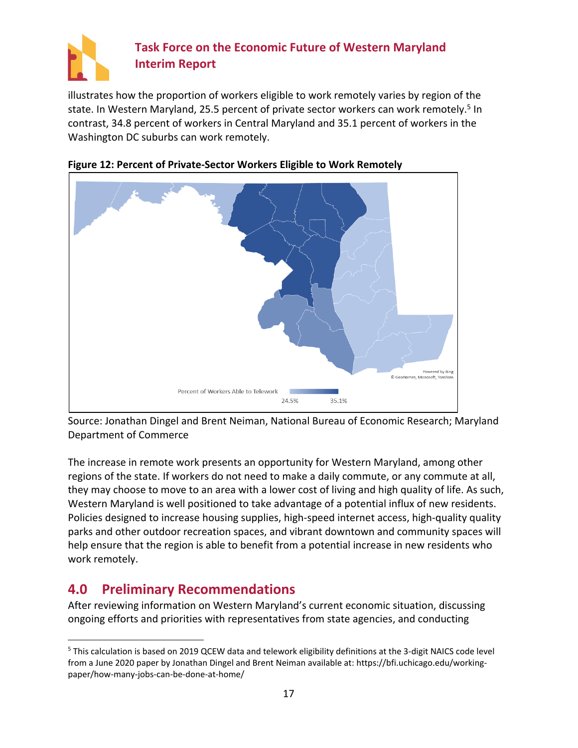

illustrates how the proportion of workers eligible to work remotely varies by region of the state. In Western Maryland, 25.5 percent of private sector workers can work remotely.<sup>5</sup> In contrast, 34.8 percent of workers in Central Maryland and 35.1 percent of workers in the Washington DC suburbs can work remotely.



<span id="page-19-1"></span>

Source: Jonathan Dingel and Brent Neiman, National Bureau of Economic Research; Maryland Department of Commerce

The increase in remote work presents an opportunity for Western Maryland, among other regions of the state. If workers do not need to make a daily commute, or any commute at all, they may choose to move to an area with a lower cost of living and high quality of life. As such, Western Maryland is well positioned to take advantage of a potential influx of new residents. Policies designed to increase housing supplies, high-speed internet access, high-quality quality parks and other outdoor recreation spaces, and vibrant downtown and community spaces will help ensure that the region is able to benefit from a potential increase in new residents who work remotely.

## <span id="page-19-0"></span>**4.0 Preliminary Recommendations**

After reviewing information on Western Maryland's current economic situation, discussing ongoing efforts and priorities with representatives from state agencies, and conducting

<sup>5</sup> This calculation is based on 2019 QCEW data and telework eligibility definitions at the 3-digit NAICS code level from a June 2020 paper by Jonathan Dingel and Brent Neiman available at: https://bfi.uchicago.edu/workingpaper/how-many-jobs-can-be-done-at-home/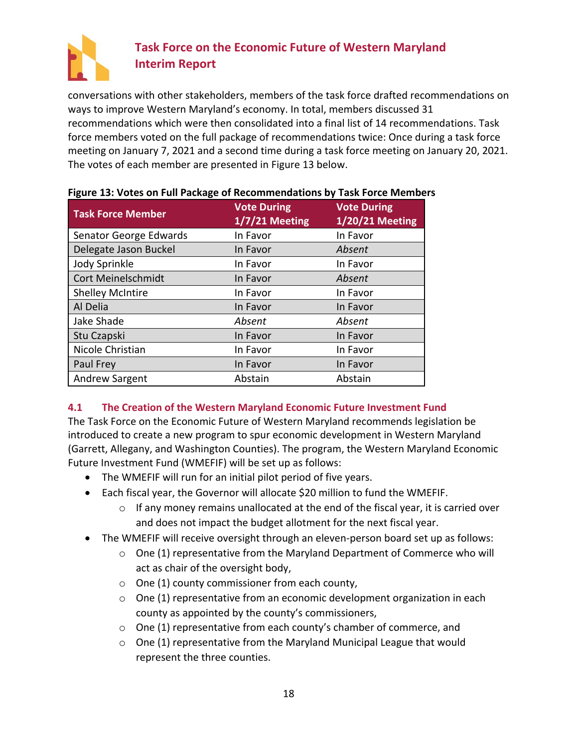

conversations with other stakeholders, members of the task force drafted recommendations on ways to improve Western Maryland's economy. In total, members discussed 31 recommendations which were then consolidated into a final list of 14 recommendations. Task force members voted on the full package of recommendations twice: Once during a task force meeting on January 7, 2021 and a second time during a task force meeting on January 20, 2021. The votes of each member are presented in [Figure 13](#page-20-1) below.

| <b>Task Force Member</b> | <b>Vote During</b><br>$1/7/21$ Meeting | <b>Vote During</b><br><b>1/20/21 Meeting</b> |
|--------------------------|----------------------------------------|----------------------------------------------|
| Senator George Edwards   | In Favor                               | In Favor                                     |
| Delegate Jason Buckel    | In Favor                               | Absent                                       |
| Jody Sprinkle            | In Favor                               | In Favor                                     |
| Cort Meinelschmidt       | In Favor                               | Absent                                       |
| <b>Shelley McIntire</b>  | In Favor                               | In Favor                                     |
| Al Delia                 | In Favor                               | In Favor                                     |
| Jake Shade               | Absent                                 | Absent                                       |
| Stu Czapski              | In Favor                               | In Favor                                     |
| Nicole Christian         | In Favor                               | In Favor                                     |
| Paul Frey                | In Favor                               | In Favor                                     |
| Andrew Sargent           | Abstain                                | Abstain                                      |

### <span id="page-20-1"></span>**Figure 13: Votes on Full Package of Recommendations by Task Force Members**

## <span id="page-20-0"></span>**4.1 The Creation of the Western Maryland Economic Future Investment Fund**

The Task Force on the Economic Future of Western Maryland recommends legislation be introduced to create a new program to spur economic development in Western Maryland (Garrett, Allegany, and Washington Counties). The program, the Western Maryland Economic Future Investment Fund (WMEFIF) will be set up as follows:

- The WMEFIF will run for an initial pilot period of five years.
- Each fiscal year, the Governor will allocate \$20 million to fund the WMEFIF.
	- $\circ$  If any money remains unallocated at the end of the fiscal year, it is carried over and does not impact the budget allotment for the next fiscal year.
- The WMEFIF will receive oversight through an eleven-person board set up as follows:
	- o One (1) representative from the Maryland Department of Commerce who will act as chair of the oversight body,
	- o One (1) county commissioner from each county,
	- $\circ$  One (1) representative from an economic development organization in each county as appointed by the county's commissioners,
	- o One (1) representative from each county's chamber of commerce, and
	- o One (1) representative from the Maryland Municipal League that would represent the three counties.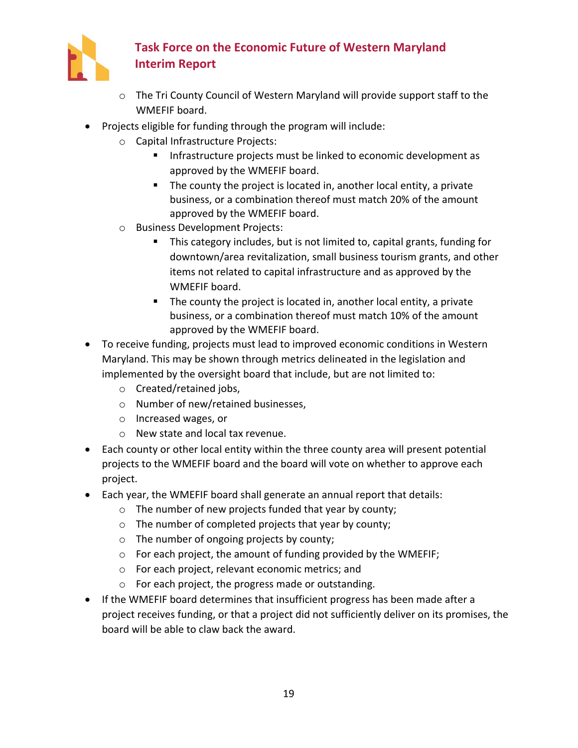

- o The Tri County Council of Western Maryland will provide support staff to the WMEFIF board.
- Projects eligible for funding through the program will include:
	- o Capital Infrastructure Projects:
		- **EXPLO Infrastructure projects must be linked to economic development as** approved by the WMEFIF board.
		- The county the project is located in, another local entity, a private business, or a combination thereof must match 20% of the amount approved by the WMEFIF board.
	- o Business Development Projects:
		- This category includes, but is not limited to, capital grants, funding for downtown/area revitalization, small business tourism grants, and other items not related to capital infrastructure and as approved by the WMEFIF board.
		- The county the project is located in, another local entity, a private business, or a combination thereof must match 10% of the amount approved by the WMEFIF board.
- To receive funding, projects must lead to improved economic conditions in Western Maryland. This may be shown through metrics delineated in the legislation and implemented by the oversight board that include, but are not limited to:
	- o Created/retained jobs,
	- o Number of new/retained businesses,
	- o Increased wages, or
	- o New state and local tax revenue.
- Each county or other local entity within the three county area will present potential projects to the WMEFIF board and the board will vote on whether to approve each project.
- Each year, the WMEFIF board shall generate an annual report that details:
	- o The number of new projects funded that year by county;
	- o The number of completed projects that year by county;
	- o The number of ongoing projects by county;
	- $\circ$  For each project, the amount of funding provided by the WMEFIF;
	- o For each project, relevant economic metrics; and
	- o For each project, the progress made or outstanding.
- If the WMEFIF board determines that insufficient progress has been made after a project receives funding, or that a project did not sufficiently deliver on its promises, the board will be able to claw back the award.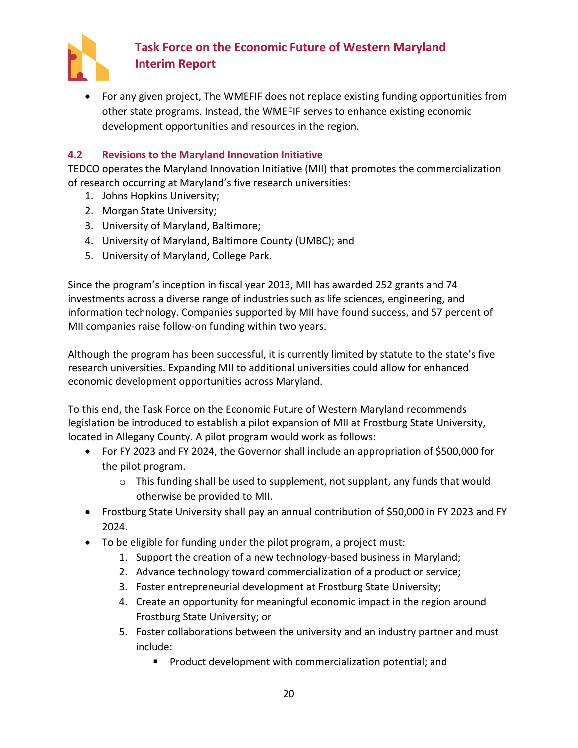

• For any given project, The WMEFIF does not replace existing funding opportunities from other state programs. Instead, the WMEFIF serves to enhance existing economic development opportunities and resources in the region.

### <span id="page-22-0"></span>**4.2 Revisions to the Maryland Innovation Initiative**

TEDCO operates the Maryland Innovation Initiative (MII) that promotes the commercialization of research occurring at Maryland's five research universities:

- 1. Johns Hopkins University;
- 2. Morgan State University;
- 3. University of Maryland, Baltimore;
- 4. University of Maryland, Baltimore County (UMBC); and
- 5. University of Maryland, College Park.

Since the program's inception in fiscal year 2013, MII has awarded 252 grants and 74 investments across a diverse range of industries such as life sciences, engineering, and information technology. Companies supported by MII have found success, and 57 percent of MII companies raise follow-on funding within two years.

Although the program has been successful, it is currently limited by statute to the state's five research universities. Expanding MII to additional universities could allow for enhanced economic development opportunities across Maryland.

To this end, the Task Force on the Economic Future of Western Maryland recommends legislation be introduced to establish a pilot expansion of MII at Frostburg State University, located in Allegany County. A pilot program would work as follows:

- For FY 2023 and FY 2024, the Governor shall include an appropriation of \$500,000 for the pilot program.
	- $\circ$  This funding shall be used to supplement, not supplant, any funds that would otherwise be provided to MII.
- Frostburg State University shall pay an annual contribution of \$50,000 in FY 2023 and FY 2024.
- To be eligible for funding under the pilot program, a project must:
	- 1. Support the creation of a new technology-based business in Maryland;
	- 2. Advance technology toward commercialization of a product or service;
	- 3. Foster entrepreneurial development at Frostburg State University;
	- 4. Create an opportunity for meaningful economic impact in the region around Frostburg State University; or
	- 5. Foster collaborations between the university and an industry partner and must include:
		- Product development with commercialization potential; and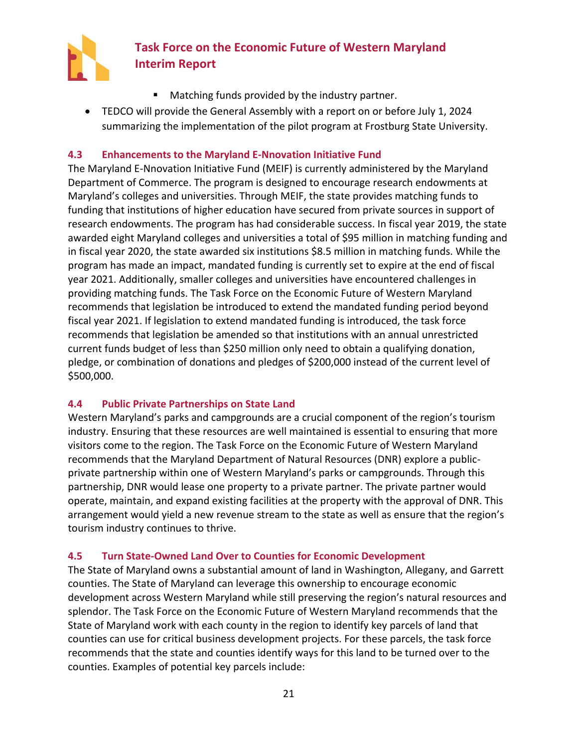

- Matching funds provided by the industry partner.
- TEDCO will provide the General Assembly with a report on or before July 1, 2024 summarizing the implementation of the pilot program at Frostburg State University.

### <span id="page-23-0"></span>**4.3 Enhancements to the Maryland E-Nnovation Initiative Fund**

The Maryland E-Nnovation Initiative Fund (MEIF) is currently administered by the Maryland Department of Commerce. The program is designed to encourage research endowments at Maryland's colleges and universities. Through MEIF, the state provides matching funds to funding that institutions of higher education have secured from private sources in support of research endowments. The program has had considerable success. In fiscal year 2019, the state awarded eight Maryland colleges and universities a total of \$95 million in matching funding and in fiscal year 2020, the state awarded six institutions \$8.5 million in matching funds. While the program has made an impact, mandated funding is currently set to expire at the end of fiscal year 2021. Additionally, smaller colleges and universities have encountered challenges in providing matching funds. The Task Force on the Economic Future of Western Maryland recommends that legislation be introduced to extend the mandated funding period beyond fiscal year 2021. If legislation to extend mandated funding is introduced, the task force recommends that legislation be amended so that institutions with an annual unrestricted current funds budget of less than \$250 million only need to obtain a qualifying donation, pledge, or combination of donations and pledges of \$200,000 instead of the current level of \$500,000.

### <span id="page-23-1"></span>**4.4 Public Private Partnerships on State Land**

Western Maryland's parks and campgrounds are a crucial component of the region's tourism industry. Ensuring that these resources are well maintained is essential to ensuring that more visitors come to the region. The Task Force on the Economic Future of Western Maryland recommends that the Maryland Department of Natural Resources (DNR) explore a publicprivate partnership within one of Western Maryland's parks or campgrounds. Through this partnership, DNR would lease one property to a private partner. The private partner would operate, maintain, and expand existing facilities at the property with the approval of DNR. This arrangement would yield a new revenue stream to the state as well as ensure that the region's tourism industry continues to thrive.

### <span id="page-23-2"></span>**4.5 Turn State-Owned Land Over to Counties for Economic Development**

The State of Maryland owns a substantial amount of land in Washington, Allegany, and Garrett counties. The State of Maryland can leverage this ownership to encourage economic development across Western Maryland while still preserving the region's natural resources and splendor. The Task Force on the Economic Future of Western Maryland recommends that the State of Maryland work with each county in the region to identify key parcels of land that counties can use for critical business development projects. For these parcels, the task force recommends that the state and counties identify ways for this land to be turned over to the counties. Examples of potential key parcels include: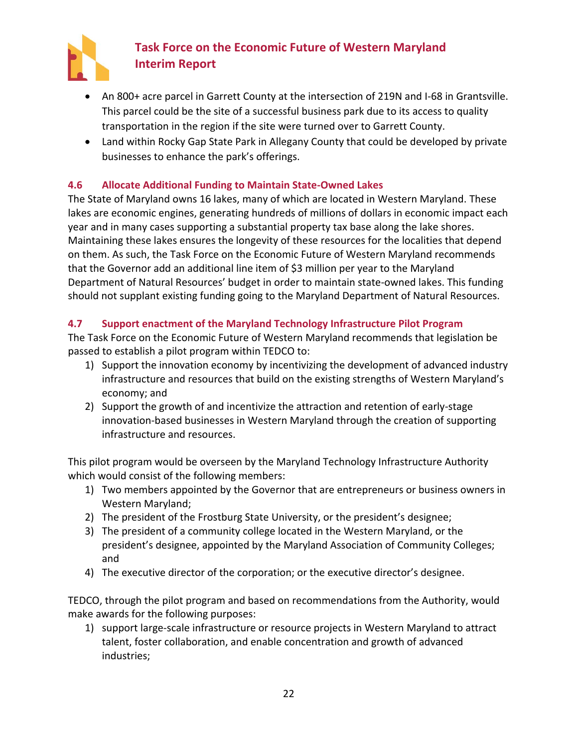

- An 800+ acre parcel in Garrett County at the intersection of 219N and I-68 in Grantsville. This parcel could be the site of a successful business park due to its access to quality transportation in the region if the site were turned over to Garrett County.
- Land within Rocky Gap State Park in Allegany County that could be developed by private businesses to enhance the park's offerings.

## <span id="page-24-0"></span>**4.6 Allocate Additional Funding to Maintain State-Owned Lakes**

The State of Maryland owns 16 lakes, many of which are located in Western Maryland. These lakes are economic engines, generating hundreds of millions of dollars in economic impact each year and in many cases supporting a substantial property tax base along the lake shores. Maintaining these lakes ensures the longevity of these resources for the localities that depend on them. As such, the Task Force on the Economic Future of Western Maryland recommends that the Governor add an additional line item of \$3 million per year to the Maryland Department of Natural Resources' budget in order to maintain state-owned lakes. This funding should not supplant existing funding going to the Maryland Department of Natural Resources.

### <span id="page-24-1"></span>**4.7 Support enactment of the Maryland Technology Infrastructure Pilot Program**

The Task Force on the Economic Future of Western Maryland recommends that legislation be passed to establish a pilot program within TEDCO to:

- 1) Support the innovation economy by incentivizing the development of advanced industry infrastructure and resources that build on the existing strengths of Western Maryland's economy; and
- 2) Support the growth of and incentivize the attraction and retention of early-stage innovation-based businesses in Western Maryland through the creation of supporting infrastructure and resources.

This pilot program would be overseen by the Maryland Technology Infrastructure Authority which would consist of the following members:

- 1) Two members appointed by the Governor that are entrepreneurs or business owners in Western Maryland;
- 2) The president of the Frostburg State University, or the president's designee;
- 3) The president of a community college located in the Western Maryland, or the president's designee, appointed by the Maryland Association of Community Colleges; and
- 4) The executive director of the corporation; or the executive director's designee.

TEDCO, through the pilot program and based on recommendations from the Authority, would make awards for the following purposes:

1) support large-scale infrastructure or resource projects in Western Maryland to attract talent, foster collaboration, and enable concentration and growth of advanced industries;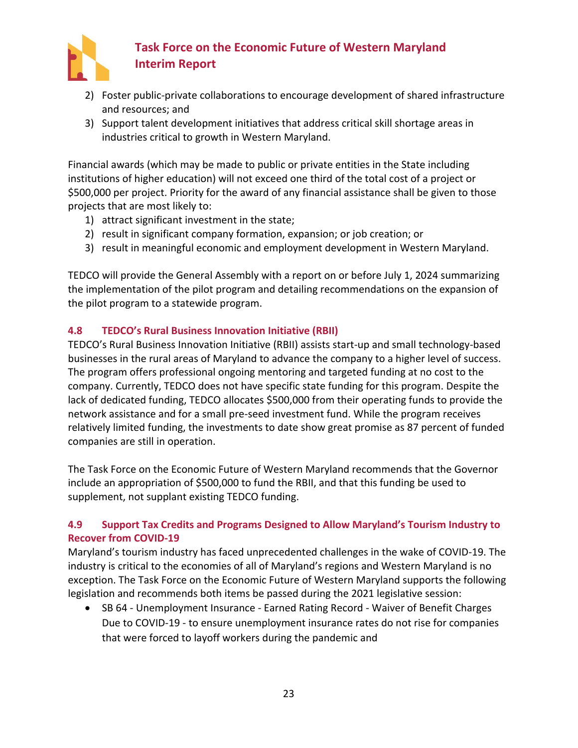

- 2) Foster public-private collaborations to encourage development of shared infrastructure and resources; and
- 3) Support talent development initiatives that address critical skill shortage areas in industries critical to growth in Western Maryland.

Financial awards (which may be made to public or private entities in the State including institutions of higher education) will not exceed one third of the total cost of a project or \$500,000 per project. Priority for the award of any financial assistance shall be given to those projects that are most likely to:

- 1) attract significant investment in the state;
- 2) result in significant company formation, expansion; or job creation; or
- 3) result in meaningful economic and employment development in Western Maryland.

TEDCO will provide the General Assembly with a report on or before July 1, 2024 summarizing the implementation of the pilot program and detailing recommendations on the expansion of the pilot program to a statewide program.

## <span id="page-25-0"></span>**4.8 TEDCO's Rural Business Innovation Initiative (RBII)**

TEDCO's Rural Business Innovation Initiative (RBII) assists start-up and small technology-based businesses in the rural areas of Maryland to advance the company to a higher level of success. The program offers professional ongoing mentoring and targeted funding at no cost to the company. Currently, TEDCO does not have specific state funding for this program. Despite the lack of dedicated funding, TEDCO allocates \$500,000 from their operating funds to provide the network assistance and for a small pre-seed investment fund. While the program receives relatively limited funding, the investments to date show great promise as 87 percent of funded companies are still in operation.

The Task Force on the Economic Future of Western Maryland recommends that the Governor include an appropriation of \$500,000 to fund the RBII, and that this funding be used to supplement, not supplant existing TEDCO funding.

## <span id="page-25-1"></span>**4.9 Support Tax Credits and Programs Designed to Allow Maryland's Tourism Industry to Recover from COVID-19**

Maryland's tourism industry has faced unprecedented challenges in the wake of COVID-19. The industry is critical to the economies of all of Maryland's regions and Western Maryland is no exception. The Task Force on the Economic Future of Western Maryland supports the following legislation and recommends both items be passed during the 2021 legislative session:

• SB 64 - Unemployment Insurance - Earned Rating Record - Waiver of Benefit Charges Due to COVID-19 - to ensure unemployment insurance rates do not rise for companies that were forced to layoff workers during the pandemic and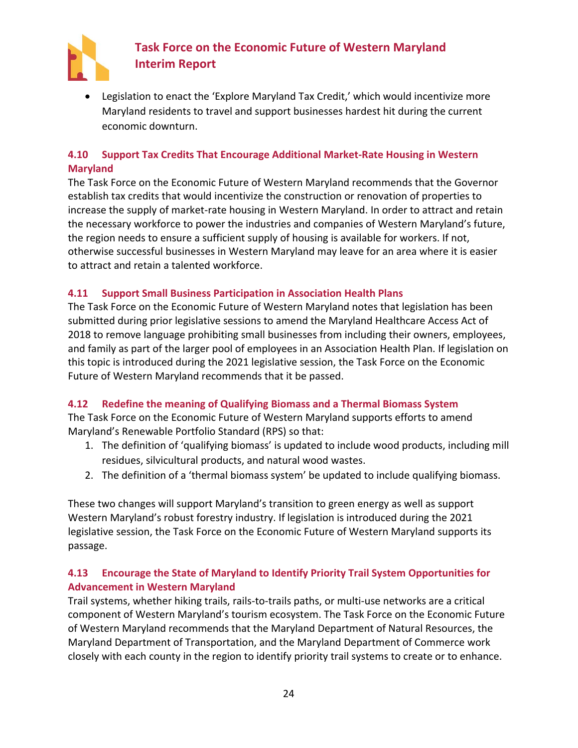

• Legislation to enact the 'Explore Maryland Tax Credit,' which would incentivize more Maryland residents to travel and support businesses hardest hit during the current economic downturn.

### <span id="page-26-0"></span>**4.10 Support Tax Credits That Encourage Additional Market-Rate Housing in Western Maryland**

The Task Force on the Economic Future of Western Maryland recommends that the Governor establish tax credits that would incentivize the construction or renovation of properties to increase the supply of market-rate housing in Western Maryland. In order to attract and retain the necessary workforce to power the industries and companies of Western Maryland's future, the region needs to ensure a sufficient supply of housing is available for workers. If not, otherwise successful businesses in Western Maryland may leave for an area where it is easier to attract and retain a talented workforce.

### <span id="page-26-1"></span>**4.11 Support Small Business Participation in Association Health Plans**

The Task Force on the Economic Future of Western Maryland notes that legislation has been submitted during prior legislative sessions to amend the Maryland Healthcare Access Act of 2018 to remove language prohibiting small businesses from including their owners, employees, and family as part of the larger pool of employees in an Association Health Plan. If legislation on this topic is introduced during the 2021 legislative session, the Task Force on the Economic Future of Western Maryland recommends that it be passed.

### <span id="page-26-2"></span>**4.12 Redefine the meaning of Qualifying Biomass and a Thermal Biomass System**

The Task Force on the Economic Future of Western Maryland supports efforts to amend Maryland's Renewable Portfolio Standard (RPS) so that:

- 1. The definition of 'qualifying biomass' is updated to include wood products, including mill residues, silvicultural products, and natural wood wastes.
- 2. The definition of a 'thermal biomass system' be updated to include qualifying biomass.

These two changes will support Maryland's transition to green energy as well as support Western Maryland's robust forestry industry. If legislation is introduced during the 2021 legislative session, the Task Force on the Economic Future of Western Maryland supports its passage.

## <span id="page-26-3"></span>**4.13 Encourage the State of Maryland to Identify Priority Trail System Opportunities for Advancement in Western Maryland**

Trail systems, whether hiking trails, rails-to-trails paths, or multi-use networks are a critical component of Western Maryland's tourism ecosystem. The Task Force on the Economic Future of Western Maryland recommends that the Maryland Department of Natural Resources, the Maryland Department of Transportation, and the Maryland Department of Commerce work closely with each county in the region to identify priority trail systems to create or to enhance.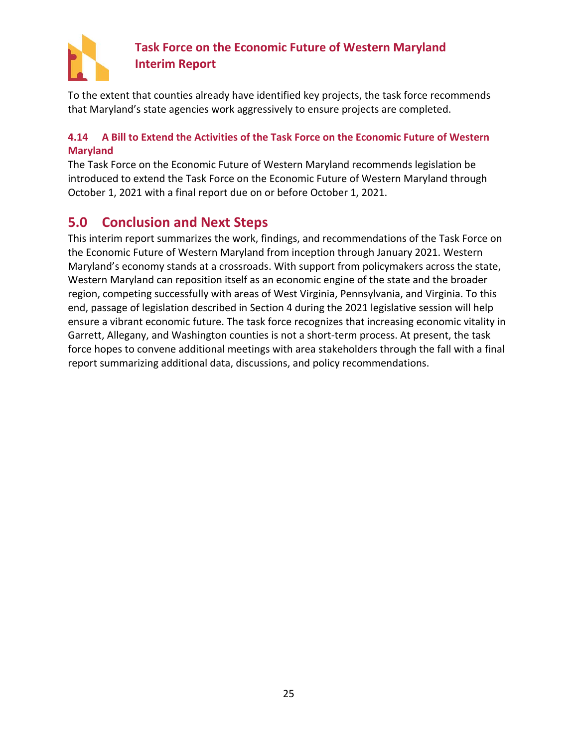

To the extent that counties already have identified key projects, the task force recommends that Maryland's state agencies work aggressively to ensure projects are completed.

## <span id="page-27-0"></span>**4.14 A Bill to Extend the Activities of the Task Force on the Economic Future of Western Maryland**

The Task Force on the Economic Future of Western Maryland recommends legislation be introduced to extend the Task Force on the Economic Future of Western Maryland through October 1, 2021 with a final report due on or before October 1, 2021.

## <span id="page-27-1"></span>**5.0 Conclusion and Next Steps**

This interim report summarizes the work, findings, and recommendations of the Task Force on the Economic Future of Western Maryland from inception through January 2021. Western Maryland's economy stands at a crossroads. With support from policymakers across the state, Western Maryland can reposition itself as an economic engine of the state and the broader region, competing successfully with areas of West Virginia, Pennsylvania, and Virginia. To this end, passage of legislation described in Section 4 during the 2021 legislative session will help ensure a vibrant economic future. The task force recognizes that increasing economic vitality in Garrett, Allegany, and Washington counties is not a short-term process. At present, the task force hopes to convene additional meetings with area stakeholders through the fall with a final report summarizing additional data, discussions, and policy recommendations.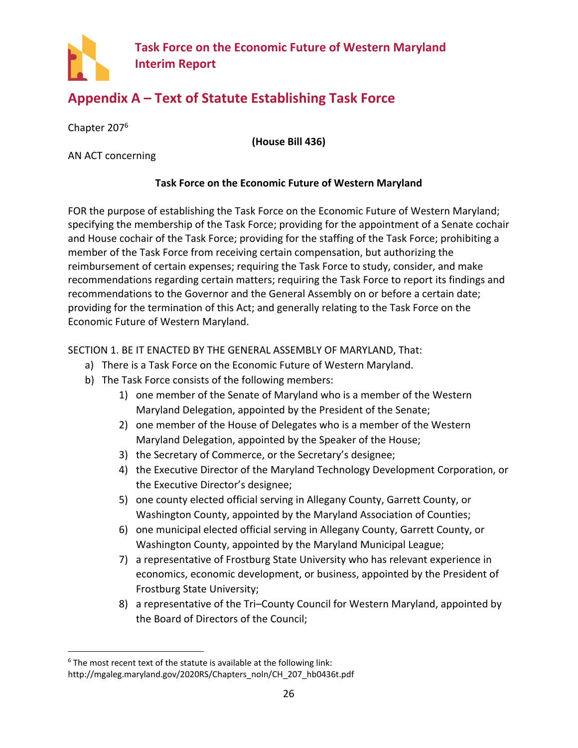

## <span id="page-28-0"></span>**Appendix A – Text of Statute Establishing Task Force**

Chapter 207<sup>6</sup>

**(House Bill 436)**

AN ACT concerning

### **Task Force on the Economic Future of Western Maryland**

FOR the purpose of establishing the Task Force on the Economic Future of Western Maryland; specifying the membership of the Task Force; providing for the appointment of a Senate cochair and House cochair of the Task Force; providing for the staffing of the Task Force; prohibiting a member of the Task Force from receiving certain compensation, but authorizing the reimbursement of certain expenses; requiring the Task Force to study, consider, and make recommendations regarding certain matters; requiring the Task Force to report its findings and recommendations to the Governor and the General Assembly on or before a certain date; providing for the termination of this Act; and generally relating to the Task Force on the Economic Future of Western Maryland.

SECTION 1. BE IT ENACTED BY THE GENERAL ASSEMBLY OF MARYLAND, That:

- a) There is a Task Force on the Economic Future of Western Maryland.
- b) The Task Force consists of the following members:
	- 1) one member of the Senate of Maryland who is a member of the Western Maryland Delegation, appointed by the President of the Senate;
	- 2) one member of the House of Delegates who is a member of the Western Maryland Delegation, appointed by the Speaker of the House;
	- 3) the Secretary of Commerce, or the Secretary's designee;
	- 4) the Executive Director of the Maryland Technology Development Corporation, or the Executive Director's designee;
	- 5) one county elected official serving in Allegany County, Garrett County, or Washington County, appointed by the Maryland Association of Counties;
	- 6) one municipal elected official serving in Allegany County, Garrett County, or Washington County, appointed by the Maryland Municipal League;
	- 7) a representative of Frostburg State University who has relevant experience in economics, economic development, or business, appointed by the President of Frostburg State University;
	- 8) a representative of the Tri–County Council for Western Maryland, appointed by the Board of Directors of the Council;

<sup>&</sup>lt;sup>6</sup> The most recent text of the statute is available at the following link: http://mgaleg.maryland.gov/2020RS/Chapters\_noln/CH\_207\_hb0436t.pdf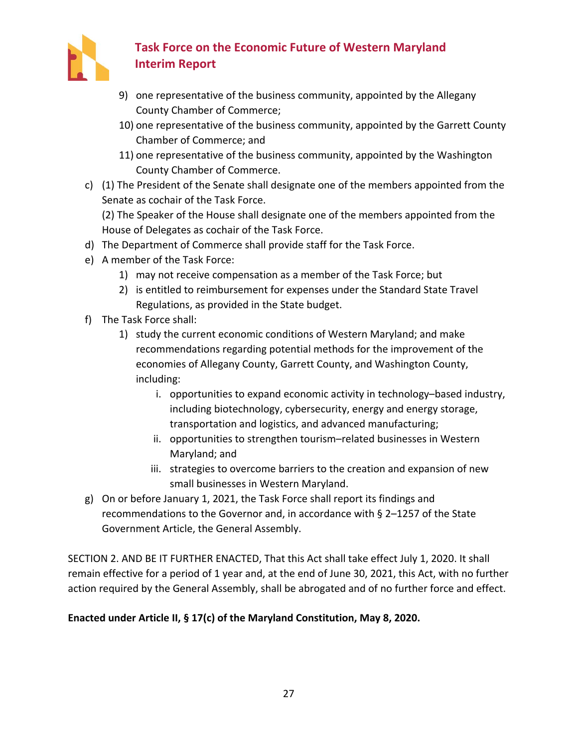

- 9) one representative of the business community, appointed by the Allegany County Chamber of Commerce;
- 10) one representative of the business community, appointed by the Garrett County Chamber of Commerce; and
- 11) one representative of the business community, appointed by the Washington County Chamber of Commerce.
- c) (1) The President of the Senate shall designate one of the members appointed from the Senate as cochair of the Task Force.

(2) The Speaker of the House shall designate one of the members appointed from the House of Delegates as cochair of the Task Force.

- d) The Department of Commerce shall provide staff for the Task Force.
- e) A member of the Task Force:
	- 1) may not receive compensation as a member of the Task Force; but
	- 2) is entitled to reimbursement for expenses under the Standard State Travel Regulations, as provided in the State budget.
- f) The Task Force shall:
	- 1) study the current economic conditions of Western Maryland; and make recommendations regarding potential methods for the improvement of the economies of Allegany County, Garrett County, and Washington County, including:
		- i. opportunities to expand economic activity in technology–based industry, including biotechnology, cybersecurity, energy and energy storage, transportation and logistics, and advanced manufacturing;
		- ii. opportunities to strengthen tourism–related businesses in Western Maryland; and
		- iii. strategies to overcome barriers to the creation and expansion of new small businesses in Western Maryland.
- g) On or before January 1, 2021, the Task Force shall report its findings and recommendations to the Governor and, in accordance with § 2–1257 of the State Government Article, the General Assembly.

SECTION 2. AND BE IT FURTHER ENACTED, That this Act shall take effect July 1, 2020. It shall remain effective for a period of 1 year and, at the end of June 30, 2021, this Act, with no further action required by the General Assembly, shall be abrogated and of no further force and effect.

## **Enacted under Article II, § 17(c) of the Maryland Constitution, May 8, 2020.**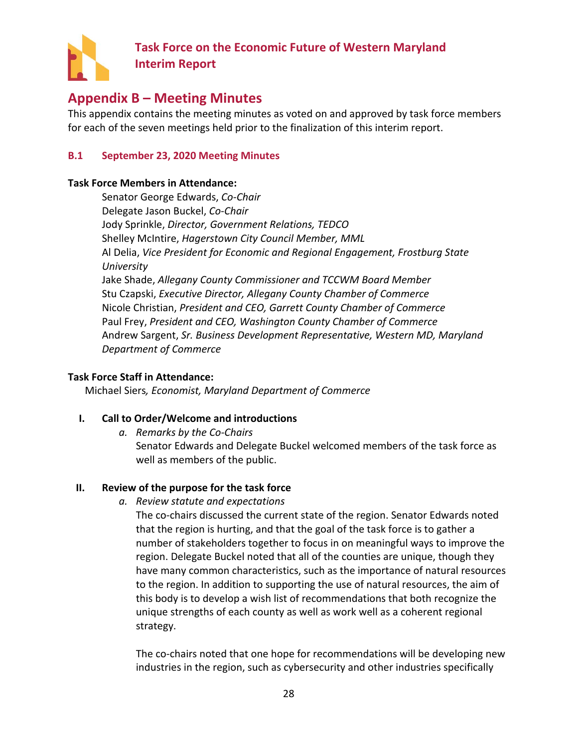

## <span id="page-30-0"></span>**Appendix B – Meeting Minutes**

This appendix contains the meeting minutes as voted on and approved by task force members for each of the seven meetings held prior to the finalization of this interim report.

### <span id="page-30-1"></span>**B.1 September 23, 2020 Meeting Minutes**

### **Task Force Members in Attendance:**

Senator George Edwards, *Co-Chair* Delegate Jason Buckel, *Co-Chair* Jody Sprinkle, *Director, Government Relations, TEDCO* Shelley McIntire, *Hagerstown City Council Member, MML* Al Delia, *Vice President for Economic and Regional Engagement, Frostburg State University* Jake Shade, *Allegany County Commissioner and TCCWM Board Member* Stu Czapski, *Executive Director, Allegany County Chamber of Commerce* Nicole Christian, *President and CEO, Garrett County Chamber of Commerce* Paul Frey, *President and CEO, Washington County Chamber of Commerce* Andrew Sargent, *Sr. Business Development Representative, Western MD, Maryland Department of Commerce*

#### **Task Force Staff in Attendance:**

Michael Siers*, Economist, Maryland Department of Commerce*

### **I. Call to Order/Welcome and introductions**

*a. Remarks by the Co-Chairs*

Senator Edwards and Delegate Buckel welcomed members of the task force as well as members of the public.

### **II. Review of the purpose for the task force**

*a. Review statute and expectations*

The co-chairs discussed the current state of the region. Senator Edwards noted that the region is hurting, and that the goal of the task force is to gather a number of stakeholders together to focus in on meaningful ways to improve the region. Delegate Buckel noted that all of the counties are unique, though they have many common characteristics, such as the importance of natural resources to the region. In addition to supporting the use of natural resources, the aim of this body is to develop a wish list of recommendations that both recognize the unique strengths of each county as well as work well as a coherent regional strategy.

The co-chairs noted that one hope for recommendations will be developing new industries in the region, such as cybersecurity and other industries specifically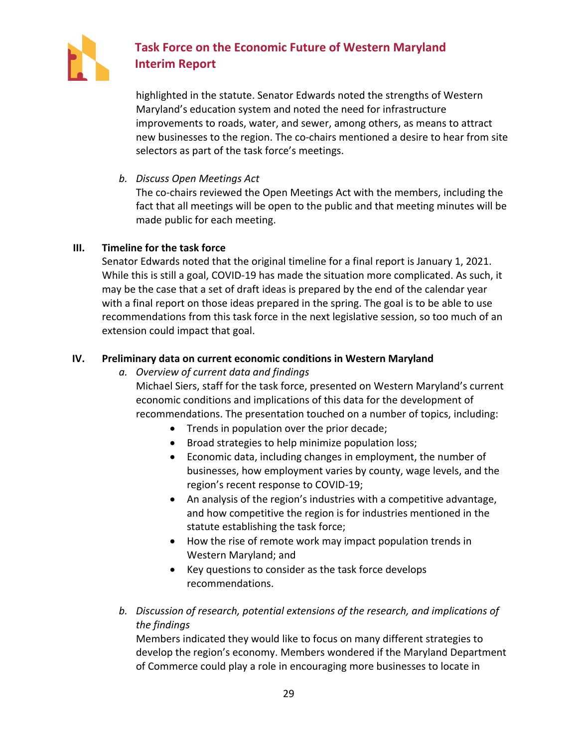

highlighted in the statute. Senator Edwards noted the strengths of Western Maryland's education system and noted the need for infrastructure improvements to roads, water, and sewer, among others, as means to attract new businesses to the region. The co-chairs mentioned a desire to hear from site selectors as part of the task force's meetings.

*b. Discuss Open Meetings Act*

The co-chairs reviewed the Open Meetings Act with the members, including the fact that all meetings will be open to the public and that meeting minutes will be made public for each meeting.

### **III. Timeline for the task force**

Senator Edwards noted that the original timeline for a final report is January 1, 2021. While this is still a goal, COVID-19 has made the situation more complicated. As such, it may be the case that a set of draft ideas is prepared by the end of the calendar year with a final report on those ideas prepared in the spring. The goal is to be able to use recommendations from this task force in the next legislative session, so too much of an extension could impact that goal.

### **IV. Preliminary data on current economic conditions in Western Maryland**

*a. Overview of current data and findings*

Michael Siers, staff for the task force, presented on Western Maryland's current economic conditions and implications of this data for the development of recommendations. The presentation touched on a number of topics, including:

- Trends in population over the prior decade;
- Broad strategies to help minimize population loss;
- Economic data, including changes in employment, the number of businesses, how employment varies by county, wage levels, and the region's recent response to COVID-19;
- An analysis of the region's industries with a competitive advantage, and how competitive the region is for industries mentioned in the statute establishing the task force;
- How the rise of remote work may impact population trends in Western Maryland; and
- Key questions to consider as the task force develops recommendations.
- *b. Discussion of research, potential extensions of the research, and implications of the findings*

Members indicated they would like to focus on many different strategies to develop the region's economy. Members wondered if the Maryland Department of Commerce could play a role in encouraging more businesses to locate in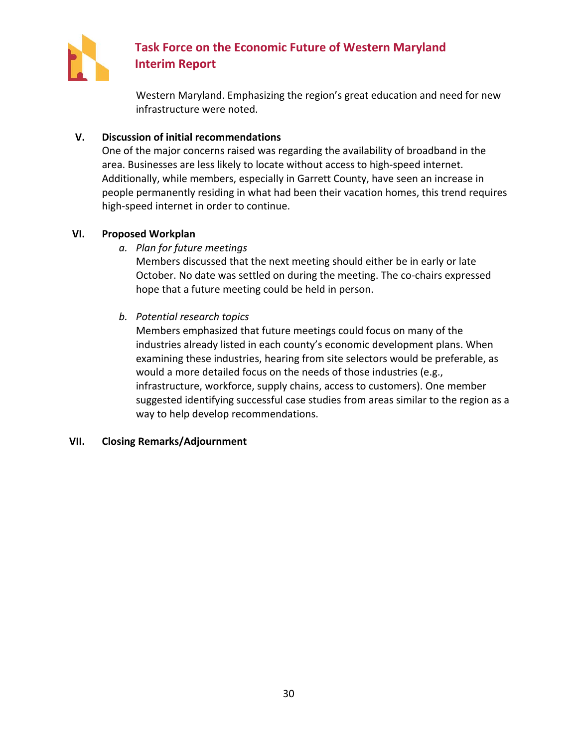

Western Maryland. Emphasizing the region's great education and need for new infrastructure were noted.

### **V. Discussion of initial recommendations**

One of the major concerns raised was regarding the availability of broadband in the area. Businesses are less likely to locate without access to high-speed internet. Additionally, while members, especially in Garrett County, have seen an increase in people permanently residing in what had been their vacation homes, this trend requires high-speed internet in order to continue.

## **VI. Proposed Workplan**

*a. Plan for future meetings*

Members discussed that the next meeting should either be in early or late October. No date was settled on during the meeting. The co-chairs expressed hope that a future meeting could be held in person.

## *b. Potential research topics*

Members emphasized that future meetings could focus on many of the industries already listed in each county's economic development plans. When examining these industries, hearing from site selectors would be preferable, as would a more detailed focus on the needs of those industries (e.g., infrastructure, workforce, supply chains, access to customers). One member suggested identifying successful case studies from areas similar to the region as a way to help develop recommendations.

### **VII. Closing Remarks/Adjournment**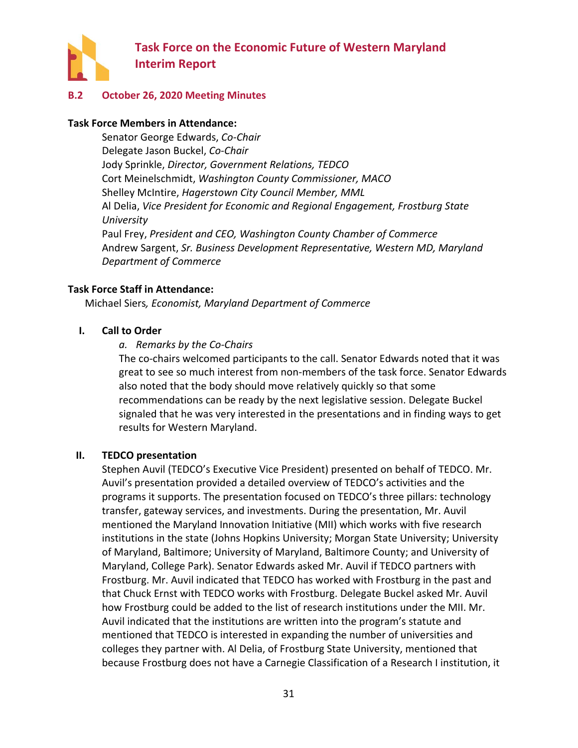

### <span id="page-33-0"></span>**B.2 October 26, 2020 Meeting Minutes**

#### **Task Force Members in Attendance:**

Senator George Edwards, *Co-Chair* Delegate Jason Buckel, *Co-Chair* Jody Sprinkle, *Director, Government Relations, TEDCO* Cort Meinelschmidt, *Washington County Commissioner, MACO* Shelley McIntire, *Hagerstown City Council Member, MML* Al Delia, *Vice President for Economic and Regional Engagement, Frostburg State University* Paul Frey, *President and CEO, Washington County Chamber of Commerce* Andrew Sargent, *Sr. Business Development Representative, Western MD, Maryland Department of Commerce*

#### **Task Force Staff in Attendance:**

Michael Siers*, Economist, Maryland Department of Commerce*

#### **I. Call to Order**

#### *a. Remarks by the Co-Chairs*

The co-chairs welcomed participants to the call. Senator Edwards noted that it was great to see so much interest from non-members of the task force. Senator Edwards also noted that the body should move relatively quickly so that some recommendations can be ready by the next legislative session. Delegate Buckel signaled that he was very interested in the presentations and in finding ways to get results for Western Maryland.

#### **II. TEDCO presentation**

Stephen Auvil (TEDCO's Executive Vice President) presented on behalf of TEDCO. Mr. Auvil's presentation provided a detailed overview of TEDCO's activities and the programs it supports. The presentation focused on TEDCO's three pillars: technology transfer, gateway services, and investments. During the presentation, Mr. Auvil mentioned the Maryland Innovation Initiative (MII) which works with five research institutions in the state (Johns Hopkins University; Morgan State University; University of Maryland, Baltimore; University of Maryland, Baltimore County; and University of Maryland, College Park). Senator Edwards asked Mr. Auvil if TEDCO partners with Frostburg. Mr. Auvil indicated that TEDCO has worked with Frostburg in the past and that Chuck Ernst with TEDCO works with Frostburg. Delegate Buckel asked Mr. Auvil how Frostburg could be added to the list of research institutions under the MII. Mr. Auvil indicated that the institutions are written into the program's statute and mentioned that TEDCO is interested in expanding the number of universities and colleges they partner with. Al Delia, of Frostburg State University, mentioned that because Frostburg does not have a Carnegie Classification of a Research I institution, it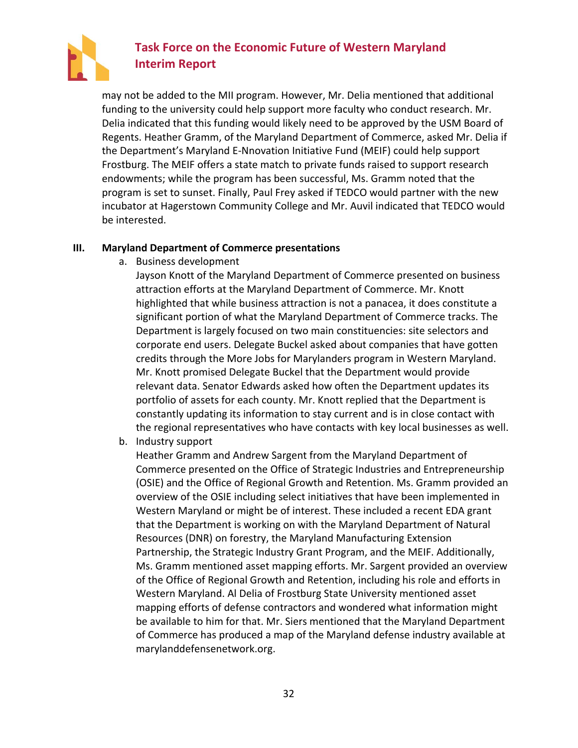

may not be added to the MII program. However, Mr. Delia mentioned that additional funding to the university could help support more faculty who conduct research. Mr. Delia indicated that this funding would likely need to be approved by the USM Board of Regents. Heather Gramm, of the Maryland Department of Commerce, asked Mr. Delia if the Department's Maryland E-Nnovation Initiative Fund (MEIF) could help support Frostburg. The MEIF offers a state match to private funds raised to support research endowments; while the program has been successful, Ms. Gramm noted that the program is set to sunset. Finally, Paul Frey asked if TEDCO would partner with the new incubator at Hagerstown Community College and Mr. Auvil indicated that TEDCO would be interested.

#### **III. Maryland Department of Commerce presentations**

a. Business development

Jayson Knott of the Maryland Department of Commerce presented on business attraction efforts at the Maryland Department of Commerce. Mr. Knott highlighted that while business attraction is not a panacea, it does constitute a significant portion of what the Maryland Department of Commerce tracks. The Department is largely focused on two main constituencies: site selectors and corporate end users. Delegate Buckel asked about companies that have gotten credits through the More Jobs for Marylanders program in Western Maryland. Mr. Knott promised Delegate Buckel that the Department would provide relevant data. Senator Edwards asked how often the Department updates its portfolio of assets for each county. Mr. Knott replied that the Department is constantly updating its information to stay current and is in close contact with the regional representatives who have contacts with key local businesses as well.

b. Industry support

Heather Gramm and Andrew Sargent from the Maryland Department of Commerce presented on the Office of Strategic Industries and Entrepreneurship (OSIE) and the Office of Regional Growth and Retention. Ms. Gramm provided an overview of the OSIE including select initiatives that have been implemented in Western Maryland or might be of interest. These included a recent EDA grant that the Department is working on with the Maryland Department of Natural Resources (DNR) on forestry, the Maryland Manufacturing Extension Partnership, the Strategic Industry Grant Program, and the MEIF. Additionally, Ms. Gramm mentioned asset mapping efforts. Mr. Sargent provided an overview of the Office of Regional Growth and Retention, including his role and efforts in Western Maryland. Al Delia of Frostburg State University mentioned asset mapping efforts of defense contractors and wondered what information might be available to him for that. Mr. Siers mentioned that the Maryland Department of Commerce has produced a map of the Maryland defense industry available at marylanddefensenetwork.org.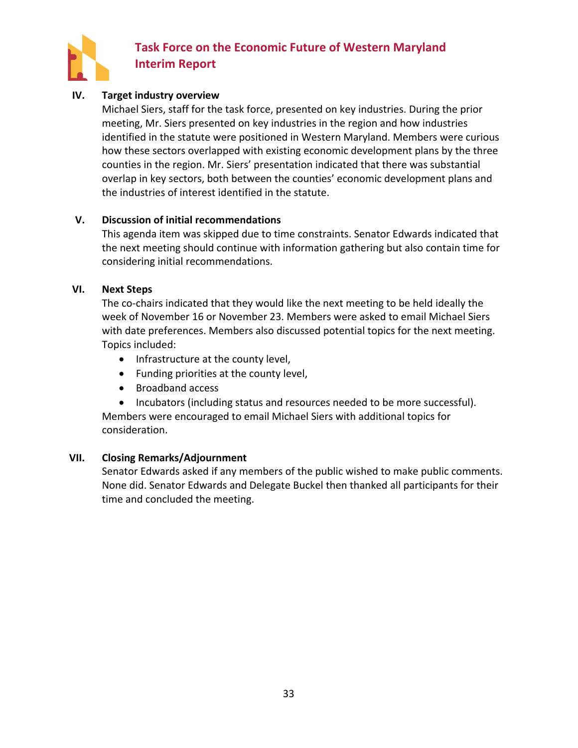

### **IV. Target industry overview**

Michael Siers, staff for the task force, presented on key industries. During the prior meeting, Mr. Siers presented on key industries in the region and how industries identified in the statute were positioned in Western Maryland. Members were curious how these sectors overlapped with existing economic development plans by the three counties in the region. Mr. Siers' presentation indicated that there was substantial overlap in key sectors, both between the counties' economic development plans and the industries of interest identified in the statute.

#### **V. Discussion of initial recommendations**

This agenda item was skipped due to time constraints. Senator Edwards indicated that the next meeting should continue with information gathering but also contain time for considering initial recommendations.

#### **VI. Next Steps**

The co-chairs indicated that they would like the next meeting to be held ideally the week of November 16 or November 23. Members were asked to email Michael Siers with date preferences. Members also discussed potential topics for the next meeting. Topics included:

- Infrastructure at the county level,
- Funding priorities at the county level,
- Broadband access
- Incubators (including status and resources needed to be more successful).

Members were encouraged to email Michael Siers with additional topics for consideration.

### **VII. Closing Remarks/Adjournment**

Senator Edwards asked if any members of the public wished to make public comments. None did. Senator Edwards and Delegate Buckel then thanked all participants for their time and concluded the meeting.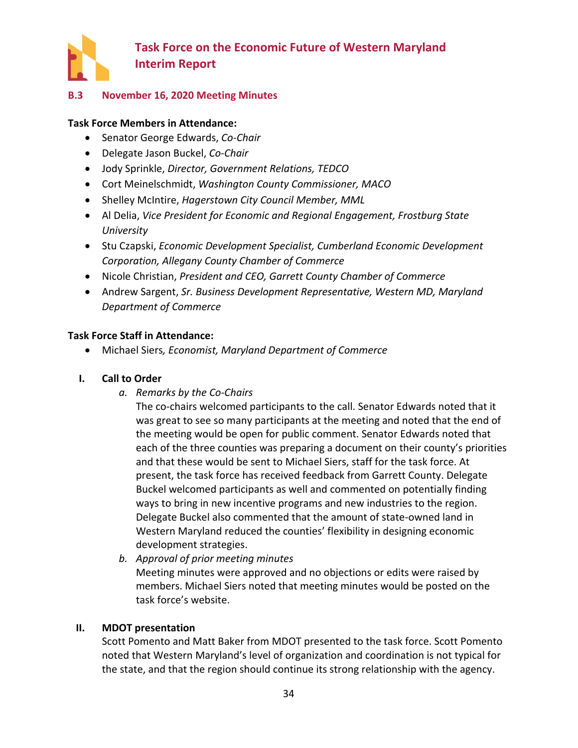

### <span id="page-36-0"></span>**B.3 November 16, 2020 Meeting Minutes**

#### **Task Force Members in Attendance:**

- Senator George Edwards, *Co-Chair*
- Delegate Jason Buckel, *Co-Chair*
- Jody Sprinkle, *Director, Government Relations, TEDCO*
- Cort Meinelschmidt, *Washington County Commissioner, MACO*
- Shelley McIntire, *Hagerstown City Council Member, MML*
- Al Delia, *Vice President for Economic and Regional Engagement, Frostburg State University*
- Stu Czapski, *Economic Development Specialist, Cumberland Economic Development Corporation, Allegany County Chamber of Commerce*
- Nicole Christian, *President and CEO, Garrett County Chamber of Commerce*
- Andrew Sargent, *Sr. Business Development Representative, Western MD, Maryland Department of Commerce*

#### **Task Force Staff in Attendance:**

• Michael Siers*, Economist, Maryland Department of Commerce*

#### **I. Call to Order**

*a. Remarks by the Co-Chairs*

The co-chairs welcomed participants to the call. Senator Edwards noted that it was great to see so many participants at the meeting and noted that the end of the meeting would be open for public comment. Senator Edwards noted that each of the three counties was preparing a document on their county's priorities and that these would be sent to Michael Siers, staff for the task force. At present, the task force has received feedback from Garrett County. Delegate Buckel welcomed participants as well and commented on potentially finding ways to bring in new incentive programs and new industries to the region. Delegate Buckel also commented that the amount of state-owned land in Western Maryland reduced the counties' flexibility in designing economic development strategies.

*b. Approval of prior meeting minutes* Meeting minutes were approved and no objections or edits were raised by members. Michael Siers noted that meeting minutes would be posted on the task force's website.

#### **II. MDOT presentation**

Scott Pomento and Matt Baker from MDOT presented to the task force. Scott Pomento noted that Western Maryland's level of organization and coordination is not typical for the state, and that the region should continue its strong relationship with the agency.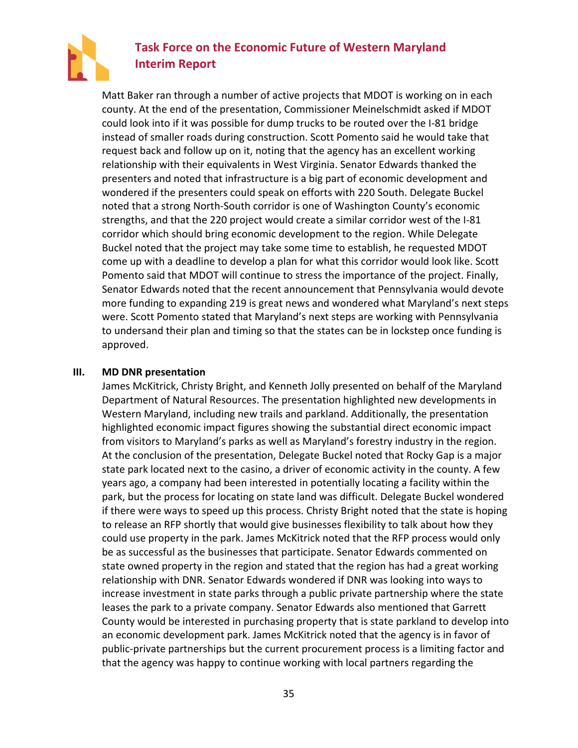

Matt Baker ran through a number of active projects that MDOT is working on in each county. At the end of the presentation, Commissioner Meinelschmidt asked if MDOT could look into if it was possible for dump trucks to be routed over the I-81 bridge instead of smaller roads during construction. Scott Pomento said he would take that request back and follow up on it, noting that the agency has an excellent working relationship with their equivalents in West Virginia. Senator Edwards thanked the presenters and noted that infrastructure is a big part of economic development and wondered if the presenters could speak on efforts with 220 South. Delegate Buckel noted that a strong North-South corridor is one of Washington County's economic strengths, and that the 220 project would create a similar corridor west of the I-81 corridor which should bring economic development to the region. While Delegate Buckel noted that the project may take some time to establish, he requested MDOT come up with a deadline to develop a plan for what this corridor would look like. Scott Pomento said that MDOT will continue to stress the importance of the project. Finally, Senator Edwards noted that the recent announcement that Pennsylvania would devote more funding to expanding 219 is great news and wondered what Maryland's next steps were. Scott Pomento stated that Maryland's next steps are working with Pennsylvania to undersand their plan and timing so that the states can be in lockstep once funding is approved.

#### **III. MD DNR presentation**

James McKitrick, Christy Bright, and Kenneth Jolly presented on behalf of the Maryland Department of Natural Resources. The presentation highlighted new developments in Western Maryland, including new trails and parkland. Additionally, the presentation highlighted economic impact figures showing the substantial direct economic impact from visitors to Maryland's parks as well as Maryland's forestry industry in the region. At the conclusion of the presentation, Delegate Buckel noted that Rocky Gap is a major state park located next to the casino, a driver of economic activity in the county. A few years ago, a company had been interested in potentially locating a facility within the park, but the process for locating on state land was difficult. Delegate Buckel wondered if there were ways to speed up this process. Christy Bright noted that the state is hoping to release an RFP shortly that would give businesses flexibility to talk about how they could use property in the park. James McKitrick noted that the RFP process would only be as successful as the businesses that participate. Senator Edwards commented on state owned property in the region and stated that the region has had a great working relationship with DNR. Senator Edwards wondered if DNR was looking into ways to increase investment in state parks through a public private partnership where the state leases the park to a private company. Senator Edwards also mentioned that Garrett County would be interested in purchasing property that is state parkland to develop into an economic development park. James McKitrick noted that the agency is in favor of public-private partnerships but the current procurement process is a limiting factor and that the agency was happy to continue working with local partners regarding the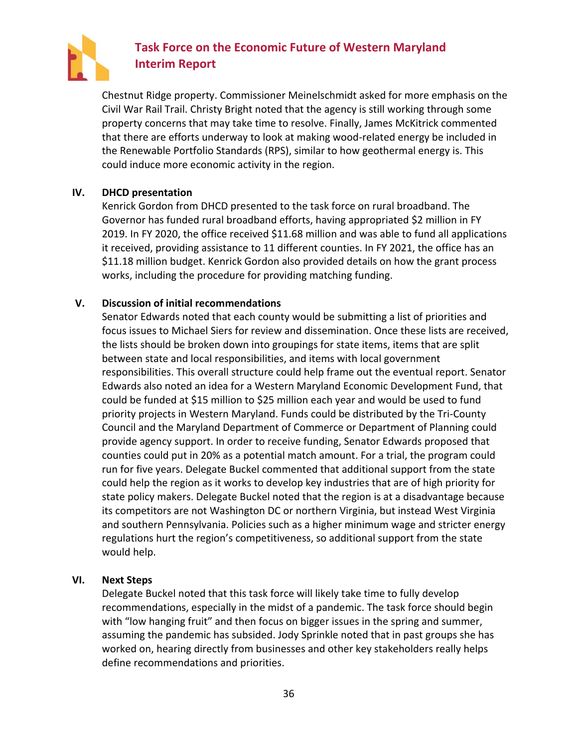

Chestnut Ridge property. Commissioner Meinelschmidt asked for more emphasis on the Civil War Rail Trail. Christy Bright noted that the agency is still working through some property concerns that may take time to resolve. Finally, James McKitrick commented that there are efforts underway to look at making wood-related energy be included in the Renewable Portfolio Standards (RPS), similar to how geothermal energy is. This could induce more economic activity in the region.

### **IV. DHCD presentation**

Kenrick Gordon from DHCD presented to the task force on rural broadband. The Governor has funded rural broadband efforts, having appropriated \$2 million in FY 2019. In FY 2020, the office received \$11.68 million and was able to fund all applications it received, providing assistance to 11 different counties. In FY 2021, the office has an \$11.18 million budget. Kenrick Gordon also provided details on how the grant process works, including the procedure for providing matching funding.

### **V. Discussion of initial recommendations**

Senator Edwards noted that each county would be submitting a list of priorities and focus issues to Michael Siers for review and dissemination. Once these lists are received, the lists should be broken down into groupings for state items, items that are split between state and local responsibilities, and items with local government responsibilities. This overall structure could help frame out the eventual report. Senator Edwards also noted an idea for a Western Maryland Economic Development Fund, that could be funded at \$15 million to \$25 million each year and would be used to fund priority projects in Western Maryland. Funds could be distributed by the Tri-County Council and the Maryland Department of Commerce or Department of Planning could provide agency support. In order to receive funding, Senator Edwards proposed that counties could put in 20% as a potential match amount. For a trial, the program could run for five years. Delegate Buckel commented that additional support from the state could help the region as it works to develop key industries that are of high priority for state policy makers. Delegate Buckel noted that the region is at a disadvantage because its competitors are not Washington DC or northern Virginia, but instead West Virginia and southern Pennsylvania. Policies such as a higher minimum wage and stricter energy regulations hurt the region's competitiveness, so additional support from the state would help.

#### **VI. Next Steps**

Delegate Buckel noted that this task force will likely take time to fully develop recommendations, especially in the midst of a pandemic. The task force should begin with "low hanging fruit" and then focus on bigger issues in the spring and summer, assuming the pandemic has subsided. Jody Sprinkle noted that in past groups she has worked on, hearing directly from businesses and other key stakeholders really helps define recommendations and priorities.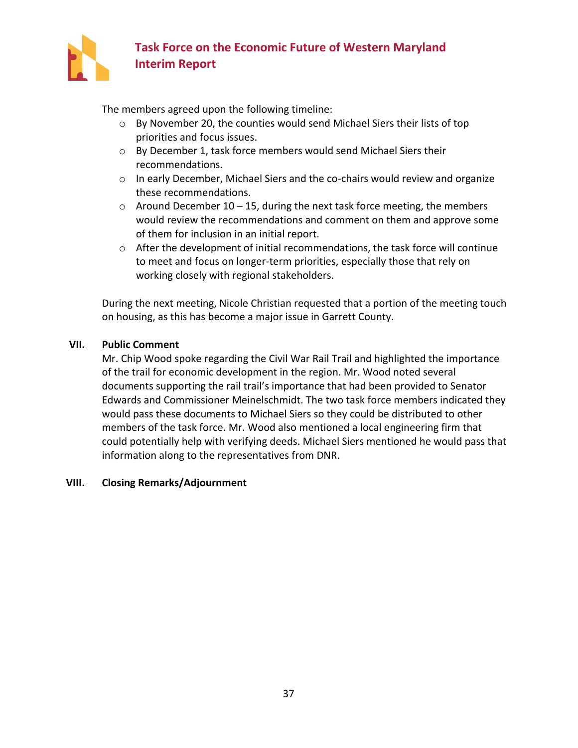

The members agreed upon the following timeline:

- o By November 20, the counties would send Michael Siers their lists of top priorities and focus issues.
- o By December 1, task force members would send Michael Siers their recommendations.
- o In early December, Michael Siers and the co-chairs would review and organize these recommendations.
- $\circ$  Around December 10 15, during the next task force meeting, the members would review the recommendations and comment on them and approve some of them for inclusion in an initial report.
- o After the development of initial recommendations, the task force will continue to meet and focus on longer-term priorities, especially those that rely on working closely with regional stakeholders.

During the next meeting, Nicole Christian requested that a portion of the meeting touch on housing, as this has become a major issue in Garrett County.

### **VII. Public Comment**

Mr. Chip Wood spoke regarding the Civil War Rail Trail and highlighted the importance of the trail for economic development in the region. Mr. Wood noted several documents supporting the rail trail's importance that had been provided to Senator Edwards and Commissioner Meinelschmidt. The two task force members indicated they would pass these documents to Michael Siers so they could be distributed to other members of the task force. Mr. Wood also mentioned a local engineering firm that could potentially help with verifying deeds. Michael Siers mentioned he would pass that information along to the representatives from DNR.

### **VIII. Closing Remarks/Adjournment**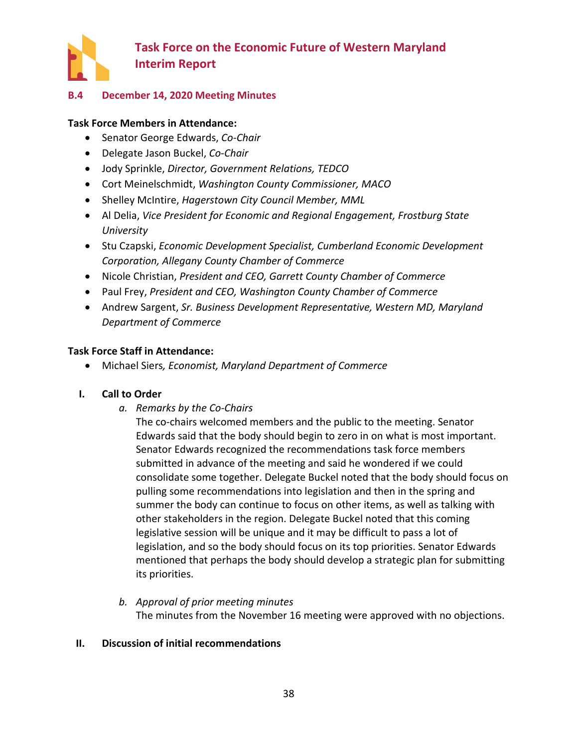

### <span id="page-40-0"></span>**B.4 December 14, 2020 Meeting Minutes**

#### **Task Force Members in Attendance:**

- Senator George Edwards, *Co-Chair*
- Delegate Jason Buckel, *Co-Chair*
- Jody Sprinkle, *Director, Government Relations, TEDCO*
- Cort Meinelschmidt, *Washington County Commissioner, MACO*
- Shelley McIntire, *Hagerstown City Council Member, MML*
- Al Delia, *Vice President for Economic and Regional Engagement, Frostburg State University*
- Stu Czapski, *Economic Development Specialist, Cumberland Economic Development Corporation, Allegany County Chamber of Commerce*
- Nicole Christian, *President and CEO, Garrett County Chamber of Commerce*
- Paul Frey, *President and CEO, Washington County Chamber of Commerce*
- Andrew Sargent, *Sr. Business Development Representative, Western MD, Maryland Department of Commerce*

### **Task Force Staff in Attendance:**

• Michael Siers*, Economist, Maryland Department of Commerce*

#### **I. Call to Order**

*a. Remarks by the Co-Chairs*

The co-chairs welcomed members and the public to the meeting. Senator Edwards said that the body should begin to zero in on what is most important. Senator Edwards recognized the recommendations task force members submitted in advance of the meeting and said he wondered if we could consolidate some together. Delegate Buckel noted that the body should focus on pulling some recommendations into legislation and then in the spring and summer the body can continue to focus on other items, as well as talking with other stakeholders in the region. Delegate Buckel noted that this coming legislative session will be unique and it may be difficult to pass a lot of legislation, and so the body should focus on its top priorities. Senator Edwards mentioned that perhaps the body should develop a strategic plan for submitting its priorities.

*b. Approval of prior meeting minutes* The minutes from the November 16 meeting were approved with no objections.

#### **II. Discussion of initial recommendations**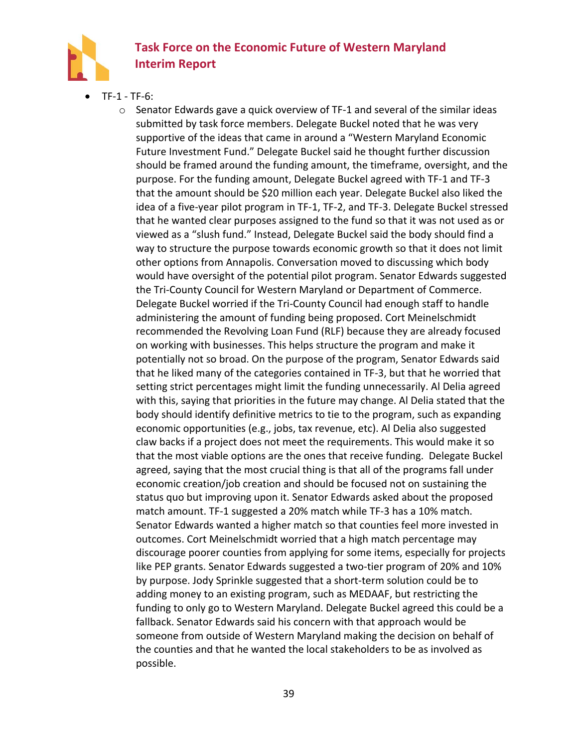

- TF-1 TF-6:
	- $\circ$  Senator Edwards gave a quick overview of TF-1 and several of the similar ideas submitted by task force members. Delegate Buckel noted that he was very supportive of the ideas that came in around a "Western Maryland Economic Future Investment Fund." Delegate Buckel said he thought further discussion should be framed around the funding amount, the timeframe, oversight, and the purpose. For the funding amount, Delegate Buckel agreed with TF-1 and TF-3 that the amount should be \$20 million each year. Delegate Buckel also liked the idea of a five-year pilot program in TF-1, TF-2, and TF-3. Delegate Buckel stressed that he wanted clear purposes assigned to the fund so that it was not used as or viewed as a "slush fund." Instead, Delegate Buckel said the body should find a way to structure the purpose towards economic growth so that it does not limit other options from Annapolis. Conversation moved to discussing which body would have oversight of the potential pilot program. Senator Edwards suggested the Tri-County Council for Western Maryland or Department of Commerce. Delegate Buckel worried if the Tri-County Council had enough staff to handle administering the amount of funding being proposed. Cort Meinelschmidt recommended the Revolving Loan Fund (RLF) because they are already focused on working with businesses. This helps structure the program and make it potentially not so broad. On the purpose of the program, Senator Edwards said that he liked many of the categories contained in TF-3, but that he worried that setting strict percentages might limit the funding unnecessarily. Al Delia agreed with this, saying that priorities in the future may change. Al Delia stated that the body should identify definitive metrics to tie to the program, such as expanding economic opportunities (e.g., jobs, tax revenue, etc). Al Delia also suggested claw backs if a project does not meet the requirements. This would make it so that the most viable options are the ones that receive funding. Delegate Buckel agreed, saying that the most crucial thing is that all of the programs fall under economic creation/job creation and should be focused not on sustaining the status quo but improving upon it. Senator Edwards asked about the proposed match amount. TF-1 suggested a 20% match while TF-3 has a 10% match. Senator Edwards wanted a higher match so that counties feel more invested in outcomes. Cort Meinelschmidt worried that a high match percentage may discourage poorer counties from applying for some items, especially for projects like PEP grants. Senator Edwards suggested a two-tier program of 20% and 10% by purpose. Jody Sprinkle suggested that a short-term solution could be to adding money to an existing program, such as MEDAAF, but restricting the funding to only go to Western Maryland. Delegate Buckel agreed this could be a fallback. Senator Edwards said his concern with that approach would be someone from outside of Western Maryland making the decision on behalf of the counties and that he wanted the local stakeholders to be as involved as possible.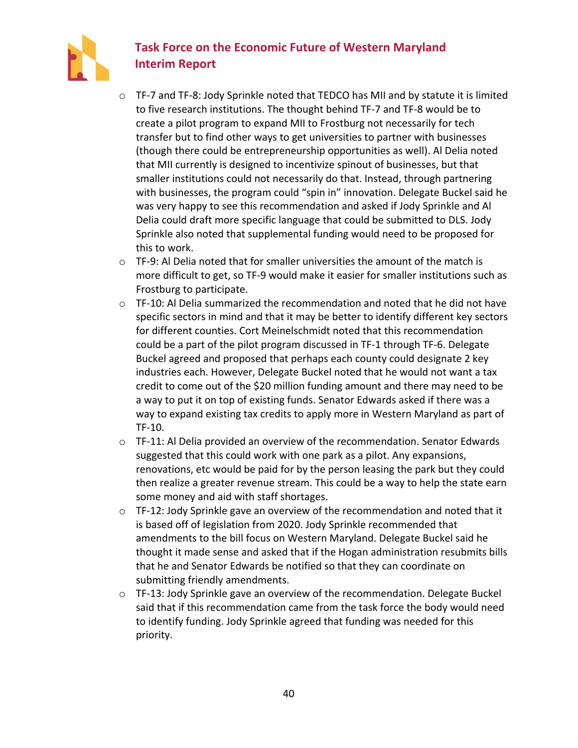

- $\circ$  TF-7 and TF-8: Jody Sprinkle noted that TEDCO has MII and by statute it is limited to five research institutions. The thought behind TF-7 and TF-8 would be to create a pilot program to expand MII to Frostburg not necessarily for tech transfer but to find other ways to get universities to partner with businesses (though there could be entrepreneurship opportunities as well). Al Delia noted that MII currently is designed to incentivize spinout of businesses, but that smaller institutions could not necessarily do that. Instead, through partnering with businesses, the program could "spin in" innovation. Delegate Buckel said he was very happy to see this recommendation and asked if Jody Sprinkle and Al Delia could draft more specific language that could be submitted to DLS. Jody Sprinkle also noted that supplemental funding would need to be proposed for this to work.
- $\circ$  TF-9: Al Delia noted that for smaller universities the amount of the match is more difficult to get, so TF-9 would make it easier for smaller institutions such as Frostburg to participate.
- $\circ$  TF-10: Al Delia summarized the recommendation and noted that he did not have specific sectors in mind and that it may be better to identify different key sectors for different counties. Cort Meinelschmidt noted that this recommendation could be a part of the pilot program discussed in TF-1 through TF-6. Delegate Buckel agreed and proposed that perhaps each county could designate 2 key industries each. However, Delegate Buckel noted that he would not want a tax credit to come out of the \$20 million funding amount and there may need to be a way to put it on top of existing funds. Senator Edwards asked if there was a way to expand existing tax credits to apply more in Western Maryland as part of TF-10.
- $\circ$  TF-11: Al Delia provided an overview of the recommendation. Senator Edwards suggested that this could work with one park as a pilot. Any expansions, renovations, etc would be paid for by the person leasing the park but they could then realize a greater revenue stream. This could be a way to help the state earn some money and aid with staff shortages.
- o TF-12: Jody Sprinkle gave an overview of the recommendation and noted that it is based off of legislation from 2020. Jody Sprinkle recommended that amendments to the bill focus on Western Maryland. Delegate Buckel said he thought it made sense and asked that if the Hogan administration resubmits bills that he and Senator Edwards be notified so that they can coordinate on submitting friendly amendments.
- $\circ$  TF-13: Jody Sprinkle gave an overview of the recommendation. Delegate Buckel said that if this recommendation came from the task force the body would need to identify funding. Jody Sprinkle agreed that funding was needed for this priority.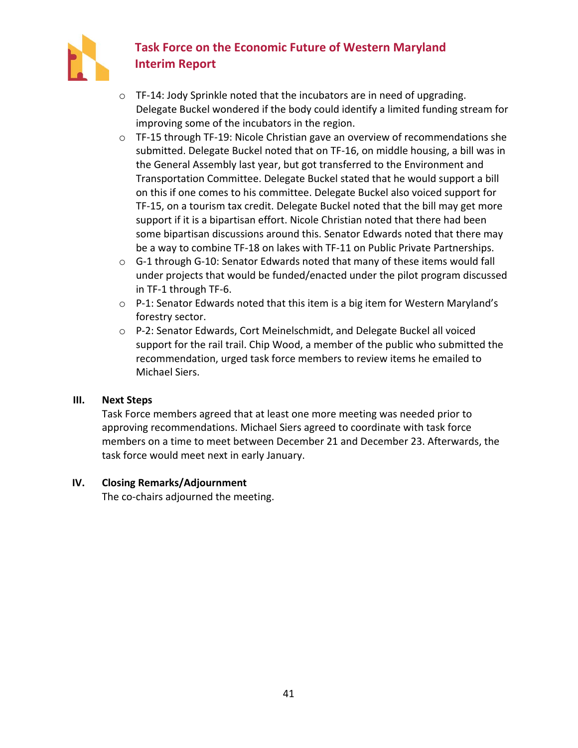

- o TF-14: Jody Sprinkle noted that the incubators are in need of upgrading. Delegate Buckel wondered if the body could identify a limited funding stream for improving some of the incubators in the region.
- $\circ$  TF-15 through TF-19: Nicole Christian gave an overview of recommendations she submitted. Delegate Buckel noted that on TF-16, on middle housing, a bill was in the General Assembly last year, but got transferred to the Environment and Transportation Committee. Delegate Buckel stated that he would support a bill on this if one comes to his committee. Delegate Buckel also voiced support for TF-15, on a tourism tax credit. Delegate Buckel noted that the bill may get more support if it is a bipartisan effort. Nicole Christian noted that there had been some bipartisan discussions around this. Senator Edwards noted that there may be a way to combine TF-18 on lakes with TF-11 on Public Private Partnerships.
- $\circ$  G-1 through G-10: Senator Edwards noted that many of these items would fall under projects that would be funded/enacted under the pilot program discussed in TF-1 through TF-6.
- o P-1: Senator Edwards noted that this item is a big item for Western Maryland's forestry sector.
- o P-2: Senator Edwards, Cort Meinelschmidt, and Delegate Buckel all voiced support for the rail trail. Chip Wood, a member of the public who submitted the recommendation, urged task force members to review items he emailed to Michael Siers.

### **III. Next Steps**

Task Force members agreed that at least one more meeting was needed prior to approving recommendations. Michael Siers agreed to coordinate with task force members on a time to meet between December 21 and December 23. Afterwards, the task force would meet next in early January.

### **IV. Closing Remarks/Adjournment**

The co-chairs adjourned the meeting.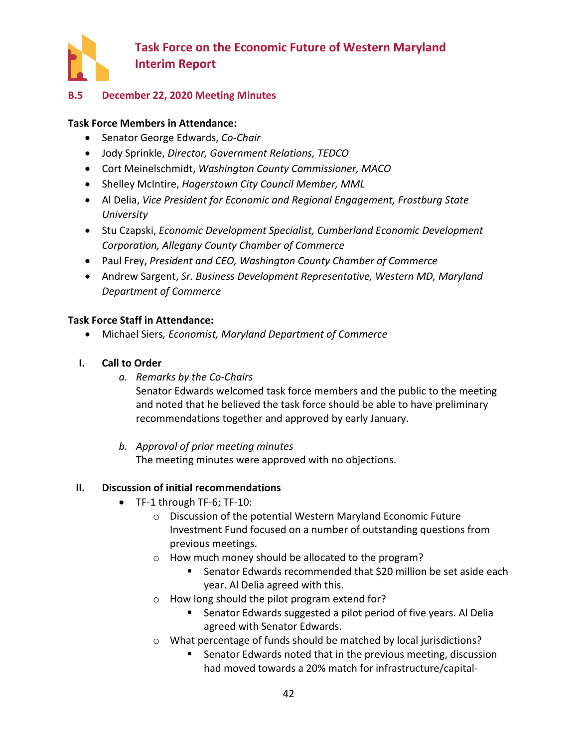

### <span id="page-44-0"></span>**B.5 December 22, 2020 Meeting Minutes**

### **Task Force Members in Attendance:**

- Senator George Edwards, *Co-Chair*
- Jody Sprinkle, *Director, Government Relations, TEDCO*
- Cort Meinelschmidt, *Washington County Commissioner, MACO*
- Shelley McIntire, *Hagerstown City Council Member, MML*
- Al Delia, *Vice President for Economic and Regional Engagement, Frostburg State University*
- Stu Czapski, *Economic Development Specialist, Cumberland Economic Development Corporation, Allegany County Chamber of Commerce*
- Paul Frey, *President and CEO, Washington County Chamber of Commerce*
- Andrew Sargent, *Sr. Business Development Representative, Western MD, Maryland Department of Commerce*

### **Task Force Staff in Attendance:**

- Michael Siers*, Economist, Maryland Department of Commerce*
- **I. Call to Order**
	- *a. Remarks by the Co-Chairs*

Senator Edwards welcomed task force members and the public to the meeting and noted that he believed the task force should be able to have preliminary recommendations together and approved by early January.

*b. Approval of prior meeting minutes* The meeting minutes were approved with no objections.

### **II. Discussion of initial recommendations**

- TF-1 through TF-6; TF-10:
	- o Discussion of the potential Western Maryland Economic Future Investment Fund focused on a number of outstanding questions from previous meetings.
	- o How much money should be allocated to the program?
		- Senator Edwards recommended that \$20 million be set aside each year. Al Delia agreed with this.
	- o How long should the pilot program extend for?
		- Senator Edwards suggested a pilot period of five years. Al Delia agreed with Senator Edwards.
	- o What percentage of funds should be matched by local jurisdictions?
		- Senator Edwards noted that in the previous meeting, discussion had moved towards a 20% match for infrastructure/capital-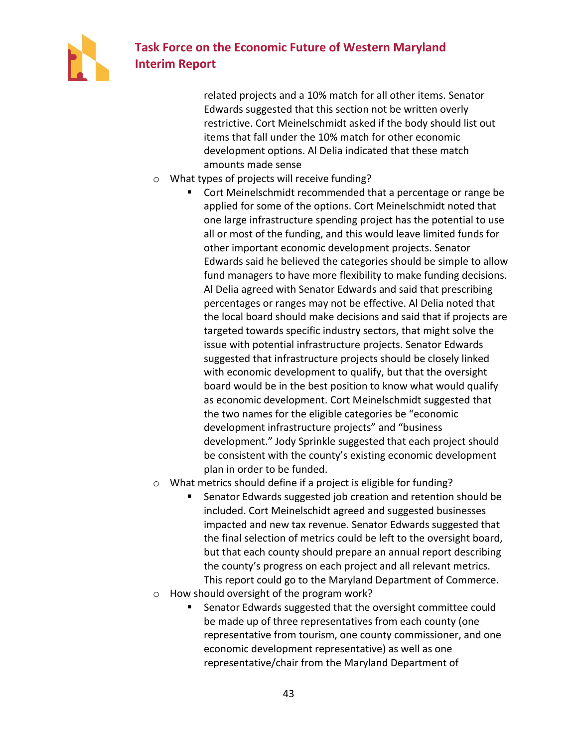

related projects and a 10% match for all other items. Senator Edwards suggested that this section not be written overly restrictive. Cort Meinelschmidt asked if the body should list out items that fall under the 10% match for other economic development options. Al Delia indicated that these match amounts made sense

- o What types of projects will receive funding?
	- Cort Meinelschmidt recommended that a percentage or range be applied for some of the options. Cort Meinelschmidt noted that one large infrastructure spending project has the potential to use all or most of the funding, and this would leave limited funds for other important economic development projects. Senator Edwards said he believed the categories should be simple to allow fund managers to have more flexibility to make funding decisions. Al Delia agreed with Senator Edwards and said that prescribing percentages or ranges may not be effective. Al Delia noted that the local board should make decisions and said that if projects are targeted towards specific industry sectors, that might solve the issue with potential infrastructure projects. Senator Edwards suggested that infrastructure projects should be closely linked with economic development to qualify, but that the oversight board would be in the best position to know what would qualify as economic development. Cort Meinelschmidt suggested that the two names for the eligible categories be "economic development infrastructure projects" and "business development." Jody Sprinkle suggested that each project should be consistent with the county's existing economic development plan in order to be funded.
- o What metrics should define if a project is eligible for funding?
	- Senator Edwards suggested job creation and retention should be included. Cort Meinelschidt agreed and suggested businesses impacted and new tax revenue. Senator Edwards suggested that the final selection of metrics could be left to the oversight board, but that each county should prepare an annual report describing the county's progress on each project and all relevant metrics. This report could go to the Maryland Department of Commerce.
- o How should oversight of the program work?
	- Senator Edwards suggested that the oversight committee could be made up of three representatives from each county (one representative from tourism, one county commissioner, and one economic development representative) as well as one representative/chair from the Maryland Department of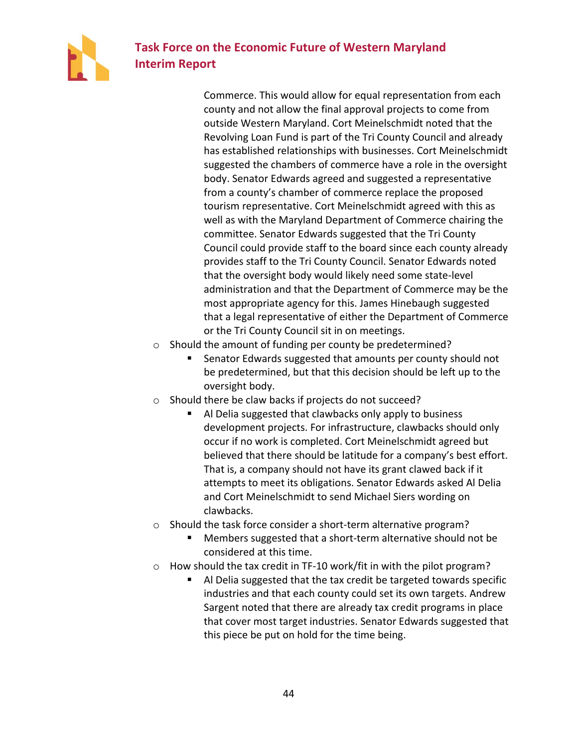

Commerce. This would allow for equal representation from each county and not allow the final approval projects to come from outside Western Maryland. Cort Meinelschmidt noted that the Revolving Loan Fund is part of the Tri County Council and already has established relationships with businesses. Cort Meinelschmidt suggested the chambers of commerce have a role in the oversight body. Senator Edwards agreed and suggested a representative from a county's chamber of commerce replace the proposed tourism representative. Cort Meinelschmidt agreed with this as well as with the Maryland Department of Commerce chairing the committee. Senator Edwards suggested that the Tri County Council could provide staff to the board since each county already provides staff to the Tri County Council. Senator Edwards noted that the oversight body would likely need some state-level administration and that the Department of Commerce may be the most appropriate agency for this. James Hinebaugh suggested that a legal representative of either the Department of Commerce or the Tri County Council sit in on meetings.

- o Should the amount of funding per county be predetermined?
	- Senator Edwards suggested that amounts per county should not be predetermined, but that this decision should be left up to the oversight body.
- o Should there be claw backs if projects do not succeed?
	- Al Delia suggested that clawbacks only apply to business development projects. For infrastructure, clawbacks should only occur if no work is completed. Cort Meinelschmidt agreed but believed that there should be latitude for a company's best effort. That is, a company should not have its grant clawed back if it attempts to meet its obligations. Senator Edwards asked Al Delia and Cort Meinelschmidt to send Michael Siers wording on clawbacks.
- o Should the task force consider a short-term alternative program?
	- Members suggested that a short-term alternative should not be considered at this time.
- o How should the tax credit in TF-10 work/fit in with the pilot program?
	- Al Delia suggested that the tax credit be targeted towards specific industries and that each county could set its own targets. Andrew Sargent noted that there are already tax credit programs in place that cover most target industries. Senator Edwards suggested that this piece be put on hold for the time being.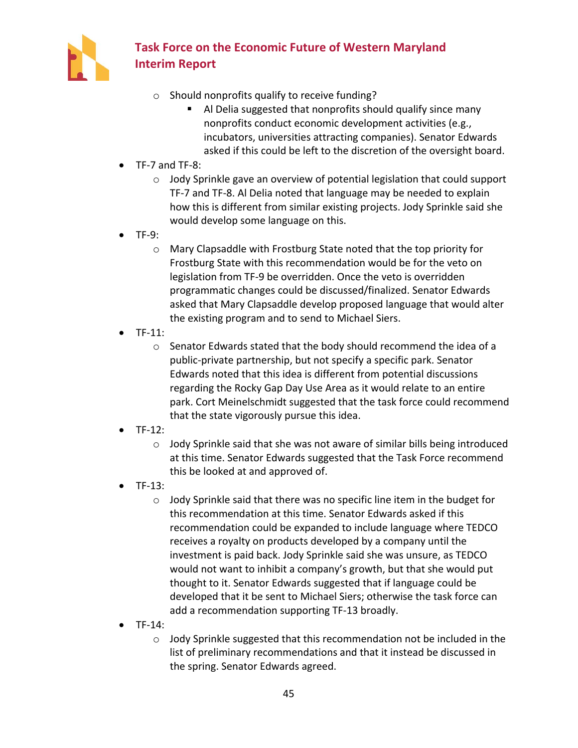

- o Should nonprofits qualify to receive funding?
	- Al Delia suggested that nonprofits should qualify since many nonprofits conduct economic development activities (e.g., incubators, universities attracting companies). Senator Edwards asked if this could be left to the discretion of the oversight board.
- TF-7 and TF-8:
	- $\circ$  Jody Sprinkle gave an overview of potential legislation that could support TF-7 and TF-8. Al Delia noted that language may be needed to explain how this is different from similar existing projects. Jody Sprinkle said she would develop some language on this.
- TF-9:
	- o Mary Clapsaddle with Frostburg State noted that the top priority for Frostburg State with this recommendation would be for the veto on legislation from TF-9 be overridden. Once the veto is overridden programmatic changes could be discussed/finalized. Senator Edwards asked that Mary Clapsaddle develop proposed language that would alter the existing program and to send to Michael Siers.
- TF-11:
	- o Senator Edwards stated that the body should recommend the idea of a public-private partnership, but not specify a specific park. Senator Edwards noted that this idea is different from potential discussions regarding the Rocky Gap Day Use Area as it would relate to an entire park. Cort Meinelschmidt suggested that the task force could recommend that the state vigorously pursue this idea.
- TF-12:
	- $\circ$  Jody Sprinkle said that she was not aware of similar bills being introduced at this time. Senator Edwards suggested that the Task Force recommend this be looked at and approved of.
- $TF-13$ :
	- o Jody Sprinkle said that there was no specific line item in the budget for this recommendation at this time. Senator Edwards asked if this recommendation could be expanded to include language where TEDCO receives a royalty on products developed by a company until the investment is paid back. Jody Sprinkle said she was unsure, as TEDCO would not want to inhibit a company's growth, but that she would put thought to it. Senator Edwards suggested that if language could be developed that it be sent to Michael Siers; otherwise the task force can add a recommendation supporting TF-13 broadly.
- TF-14:
	- o Jody Sprinkle suggested that this recommendation not be included in the list of preliminary recommendations and that it instead be discussed in the spring. Senator Edwards agreed.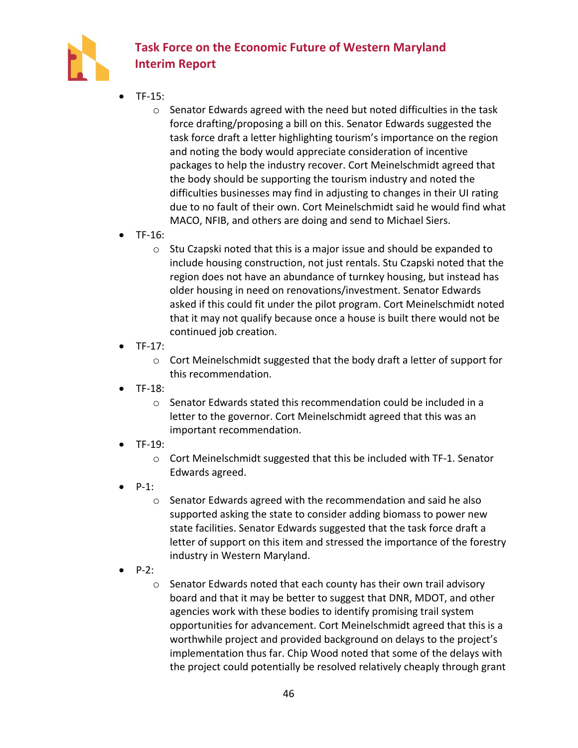

- TF-15:
	- $\circ$  Senator Edwards agreed with the need but noted difficulties in the task force drafting/proposing a bill on this. Senator Edwards suggested the task force draft a letter highlighting tourism's importance on the region and noting the body would appreciate consideration of incentive packages to help the industry recover. Cort Meinelschmidt agreed that the body should be supporting the tourism industry and noted the difficulties businesses may find in adjusting to changes in their UI rating due to no fault of their own. Cort Meinelschmidt said he would find what MACO, NFIB, and others are doing and send to Michael Siers.
- TF-16:
	- o Stu Czapski noted that this is a major issue and should be expanded to include housing construction, not just rentals. Stu Czapski noted that the region does not have an abundance of turnkey housing, but instead has older housing in need on renovations/investment. Senator Edwards asked if this could fit under the pilot program. Cort Meinelschmidt noted that it may not qualify because once a house is built there would not be continued job creation.
- TF-17:
	- o Cort Meinelschmidt suggested that the body draft a letter of support for this recommendation.
- TF-18:
	- $\circ$  Senator Edwards stated this recommendation could be included in a letter to the governor. Cort Meinelschmidt agreed that this was an important recommendation.
- TF-19:
	- o Cort Meinelschmidt suggested that this be included with TF-1. Senator Edwards agreed.
- $P-1$ :
	- $\circ$  Senator Edwards agreed with the recommendation and said he also supported asking the state to consider adding biomass to power new state facilities. Senator Edwards suggested that the task force draft a letter of support on this item and stressed the importance of the forestry industry in Western Maryland.
- P-2:
	- o Senator Edwards noted that each county has their own trail advisory board and that it may be better to suggest that DNR, MDOT, and other agencies work with these bodies to identify promising trail system opportunities for advancement. Cort Meinelschmidt agreed that this is a worthwhile project and provided background on delays to the project's implementation thus far. Chip Wood noted that some of the delays with the project could potentially be resolved relatively cheaply through grant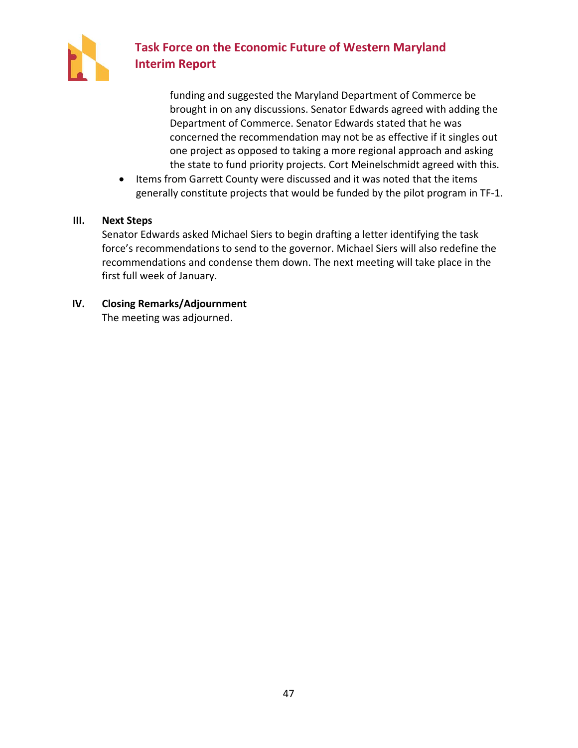

funding and suggested the Maryland Department of Commerce be brought in on any discussions. Senator Edwards agreed with adding the Department of Commerce. Senator Edwards stated that he was concerned the recommendation may not be as effective if it singles out one project as opposed to taking a more regional approach and asking the state to fund priority projects. Cort Meinelschmidt agreed with this.

• Items from Garrett County were discussed and it was noted that the items generally constitute projects that would be funded by the pilot program in TF-1.

### **III. Next Steps**

Senator Edwards asked Michael Siers to begin drafting a letter identifying the task force's recommendations to send to the governor. Michael Siers will also redefine the recommendations and condense them down. The next meeting will take place in the first full week of January.

**IV. Closing Remarks/Adjournment** The meeting was adjourned.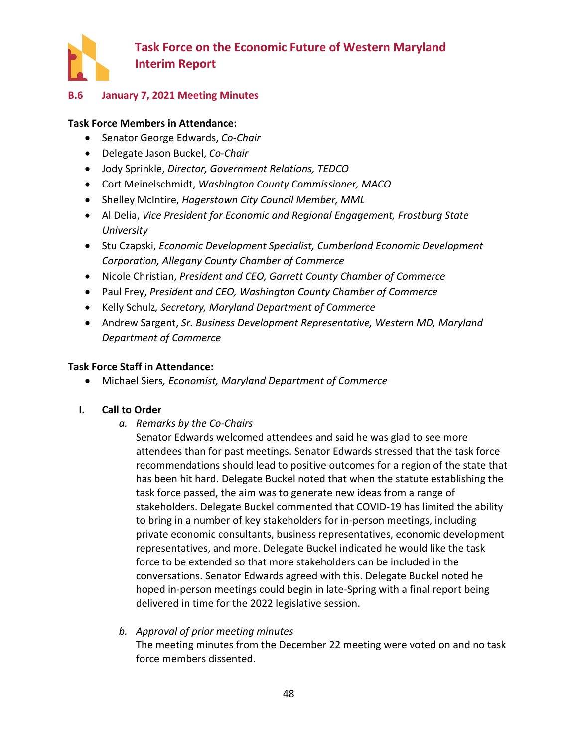

### <span id="page-50-0"></span>**B.6 January 7, 2021 Meeting Minutes**

### **Task Force Members in Attendance:**

- Senator George Edwards, *Co-Chair*
- Delegate Jason Buckel, *Co-Chair*
- Jody Sprinkle, *Director, Government Relations, TEDCO*
- Cort Meinelschmidt, *Washington County Commissioner, MACO*
- Shelley McIntire, *Hagerstown City Council Member, MML*
- Al Delia, *Vice President for Economic and Regional Engagement, Frostburg State University*
- Stu Czapski, *Economic Development Specialist, Cumberland Economic Development Corporation, Allegany County Chamber of Commerce*
- Nicole Christian, *President and CEO, Garrett County Chamber of Commerce*
- Paul Frey, *President and CEO, Washington County Chamber of Commerce*
- Kelly Schulz*, Secretary, Maryland Department of Commerce*
- Andrew Sargent, *Sr. Business Development Representative, Western MD, Maryland Department of Commerce*

### **Task Force Staff in Attendance:**

• Michael Siers*, Economist, Maryland Department of Commerce*

#### **I. Call to Order**

*a. Remarks by the Co-Chairs*

Senator Edwards welcomed attendees and said he was glad to see more attendees than for past meetings. Senator Edwards stressed that the task force recommendations should lead to positive outcomes for a region of the state that has been hit hard. Delegate Buckel noted that when the statute establishing the task force passed, the aim was to generate new ideas from a range of stakeholders. Delegate Buckel commented that COVID-19 has limited the ability to bring in a number of key stakeholders for in-person meetings, including private economic consultants, business representatives, economic development representatives, and more. Delegate Buckel indicated he would like the task force to be extended so that more stakeholders can be included in the conversations. Senator Edwards agreed with this. Delegate Buckel noted he hoped in-person meetings could begin in late-Spring with a final report being delivered in time for the 2022 legislative session.

## *b. Approval of prior meeting minutes* The meeting minutes from the December 22 meeting were voted on and no task force members dissented.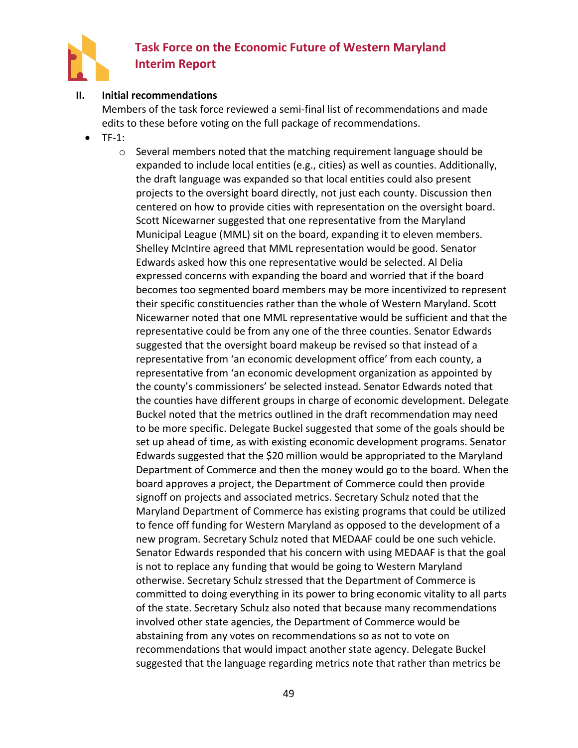

#### **II. Initial recommendations**

Members of the task force reviewed a semi-final list of recommendations and made edits to these before voting on the full package of recommendations.

- $TF-1$ :
	- $\circ$  Several members noted that the matching requirement language should be expanded to include local entities (e.g., cities) as well as counties. Additionally, the draft language was expanded so that local entities could also present projects to the oversight board directly, not just each county. Discussion then centered on how to provide cities with representation on the oversight board. Scott Nicewarner suggested that one representative from the Maryland Municipal League (MML) sit on the board, expanding it to eleven members. Shelley McIntire agreed that MML representation would be good. Senator Edwards asked how this one representative would be selected. Al Delia expressed concerns with expanding the board and worried that if the board becomes too segmented board members may be more incentivized to represent their specific constituencies rather than the whole of Western Maryland. Scott Nicewarner noted that one MML representative would be sufficient and that the representative could be from any one of the three counties. Senator Edwards suggested that the oversight board makeup be revised so that instead of a representative from 'an economic development office' from each county, a representative from 'an economic development organization as appointed by the county's commissioners' be selected instead. Senator Edwards noted that the counties have different groups in charge of economic development. Delegate Buckel noted that the metrics outlined in the draft recommendation may need to be more specific. Delegate Buckel suggested that some of the goals should be set up ahead of time, as with existing economic development programs. Senator Edwards suggested that the \$20 million would be appropriated to the Maryland Department of Commerce and then the money would go to the board. When the board approves a project, the Department of Commerce could then provide signoff on projects and associated metrics. Secretary Schulz noted that the Maryland Department of Commerce has existing programs that could be utilized to fence off funding for Western Maryland as opposed to the development of a new program. Secretary Schulz noted that MEDAAF could be one such vehicle. Senator Edwards responded that his concern with using MEDAAF is that the goal is not to replace any funding that would be going to Western Maryland otherwise. Secretary Schulz stressed that the Department of Commerce is committed to doing everything in its power to bring economic vitality to all parts of the state. Secretary Schulz also noted that because many recommendations involved other state agencies, the Department of Commerce would be abstaining from any votes on recommendations so as not to vote on recommendations that would impact another state agency. Delegate Buckel suggested that the language regarding metrics note that rather than metrics be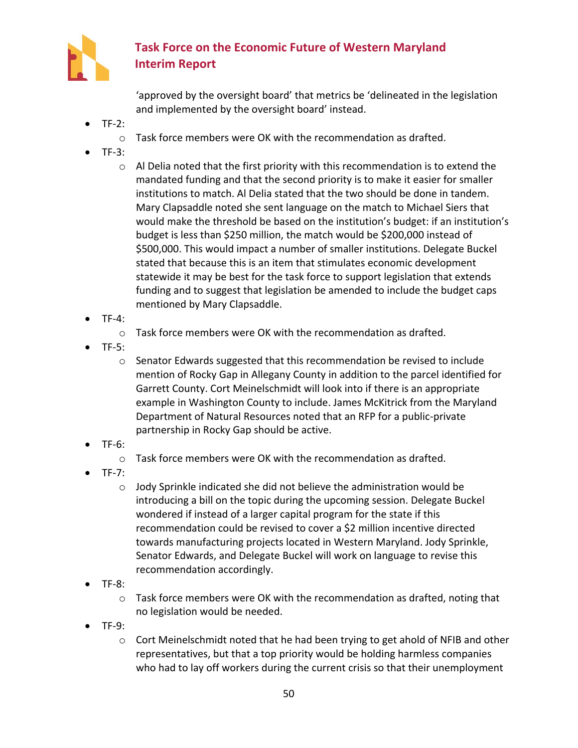

'approved by the oversight board' that metrics be 'delineated in the legislation and implemented by the oversight board' instead.

- $TF-2$ :
	- $\circ$  Task force members were OK with the recommendation as drafted.
- $\bullet$  TF-3:
	- o Al Delia noted that the first priority with this recommendation is to extend the mandated funding and that the second priority is to make it easier for smaller institutions to match. Al Delia stated that the two should be done in tandem. Mary Clapsaddle noted she sent language on the match to Michael Siers that would make the threshold be based on the institution's budget: if an institution's budget is less than \$250 million, the match would be \$200,000 instead of \$500,000. This would impact a number of smaller institutions. Delegate Buckel stated that because this is an item that stimulates economic development statewide it may be best for the task force to support legislation that extends funding and to suggest that legislation be amended to include the budget caps mentioned by Mary Clapsaddle.
- $\bullet$  TF-4:
	- o Task force members were OK with the recommendation as drafted.
- TF-5:
	- $\circ$  Senator Edwards suggested that this recommendation be revised to include mention of Rocky Gap in Allegany County in addition to the parcel identified for Garrett County. Cort Meinelschmidt will look into if there is an appropriate example in Washington County to include. James McKitrick from the Maryland Department of Natural Resources noted that an RFP for a public-private partnership in Rocky Gap should be active.
- TF-6:
	- $\circ$  Task force members were OK with the recommendation as drafted.
- TF-7:
	- o Jody Sprinkle indicated she did not believe the administration would be introducing a bill on the topic during the upcoming session. Delegate Buckel wondered if instead of a larger capital program for the state if this recommendation could be revised to cover a \$2 million incentive directed towards manufacturing projects located in Western Maryland. Jody Sprinkle, Senator Edwards, and Delegate Buckel will work on language to revise this recommendation accordingly.
- TF-8:
	- $\circ$  Task force members were OK with the recommendation as drafted, noting that no legislation would be needed.
- TF-9:
	- $\circ$  Cort Meinelschmidt noted that he had been trying to get ahold of NFIB and other representatives, but that a top priority would be holding harmless companies who had to lay off workers during the current crisis so that their unemployment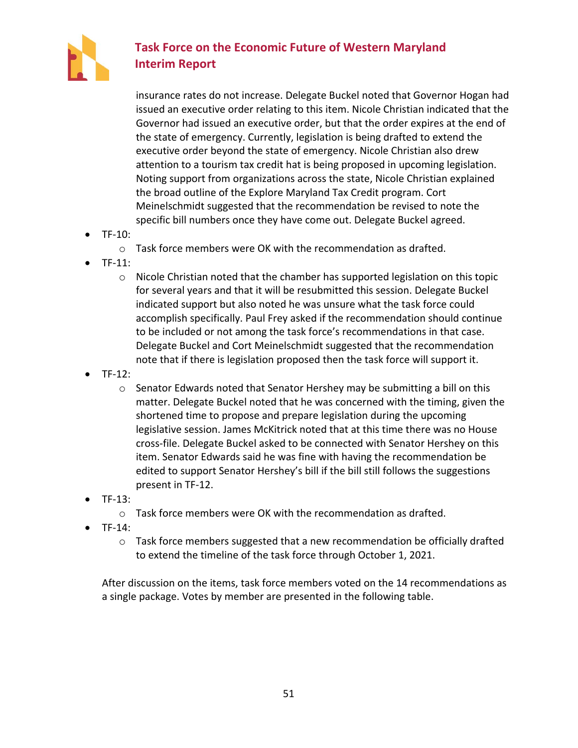

insurance rates do not increase. Delegate Buckel noted that Governor Hogan had issued an executive order relating to this item. Nicole Christian indicated that the Governor had issued an executive order, but that the order expires at the end of the state of emergency. Currently, legislation is being drafted to extend the executive order beyond the state of emergency. Nicole Christian also drew attention to a tourism tax credit hat is being proposed in upcoming legislation. Noting support from organizations across the state, Nicole Christian explained the broad outline of the Explore Maryland Tax Credit program. Cort Meinelschmidt suggested that the recommendation be revised to note the specific bill numbers once they have come out. Delegate Buckel agreed.

- TF-10:
	- o Task force members were OK with the recommendation as drafted.
- TF-11:
	- $\circ$  Nicole Christian noted that the chamber has supported legislation on this topic for several years and that it will be resubmitted this session. Delegate Buckel indicated support but also noted he was unsure what the task force could accomplish specifically. Paul Frey asked if the recommendation should continue to be included or not among the task force's recommendations in that case. Delegate Buckel and Cort Meinelschmidt suggested that the recommendation note that if there is legislation proposed then the task force will support it.
- TF-12:
	- $\circ$  Senator Edwards noted that Senator Hershey may be submitting a bill on this matter. Delegate Buckel noted that he was concerned with the timing, given the shortened time to propose and prepare legislation during the upcoming legislative session. James McKitrick noted that at this time there was no House cross-file. Delegate Buckel asked to be connected with Senator Hershey on this item. Senator Edwards said he was fine with having the recommendation be edited to support Senator Hershey's bill if the bill still follows the suggestions present in TF-12.
- TF-13:
	- $\circ$  Task force members were OK with the recommendation as drafted.
- TF-14:
	- $\circ$  Task force members suggested that a new recommendation be officially drafted to extend the timeline of the task force through October 1, 2021.

After discussion on the items, task force members voted on the 14 recommendations as a single package. Votes by member are presented in the following table.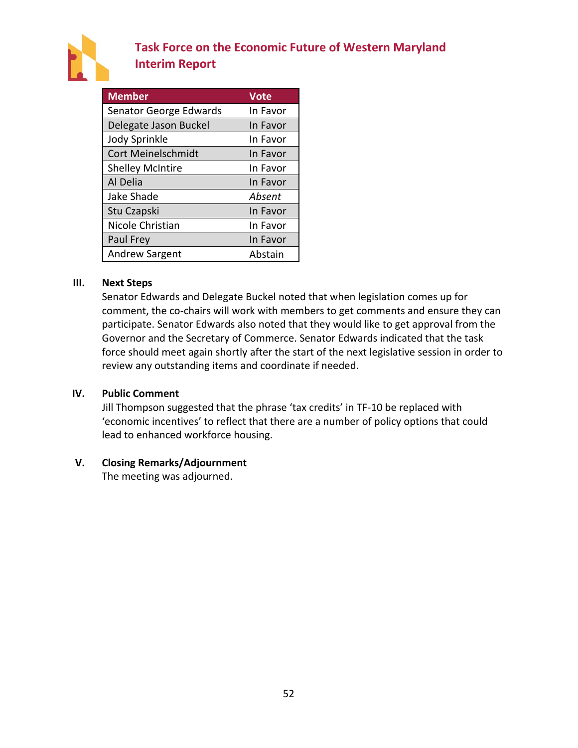

| <b>Member</b>             | <b>Vote</b> |
|---------------------------|-------------|
| Senator George Edwards    | In Favor    |
| Delegate Jason Buckel     | In Favor    |
| <b>Jody Sprinkle</b>      | In Favor    |
| <b>Cort Meinelschmidt</b> | In Favor    |
| <b>Shelley McIntire</b>   | In Favor    |
| Al Delia                  | In Favor    |
| Jake Shade                | Absent      |
| Stu Czapski               | In Favor    |
| Nicole Christian          | In Favor    |
| Paul Frey                 | In Favor    |
| <b>Andrew Sargent</b>     | Abstain     |

#### **III. Next Steps**

Senator Edwards and Delegate Buckel noted that when legislation comes up for comment, the co-chairs will work with members to get comments and ensure they can participate. Senator Edwards also noted that they would like to get approval from the Governor and the Secretary of Commerce. Senator Edwards indicated that the task force should meet again shortly after the start of the next legislative session in order to review any outstanding items and coordinate if needed.

#### **IV. Public Comment**

Jill Thompson suggested that the phrase 'tax credits' in TF-10 be replaced with 'economic incentives' to reflect that there are a number of policy options that could lead to enhanced workforce housing.

#### **V. Closing Remarks/Adjournment**

The meeting was adjourned.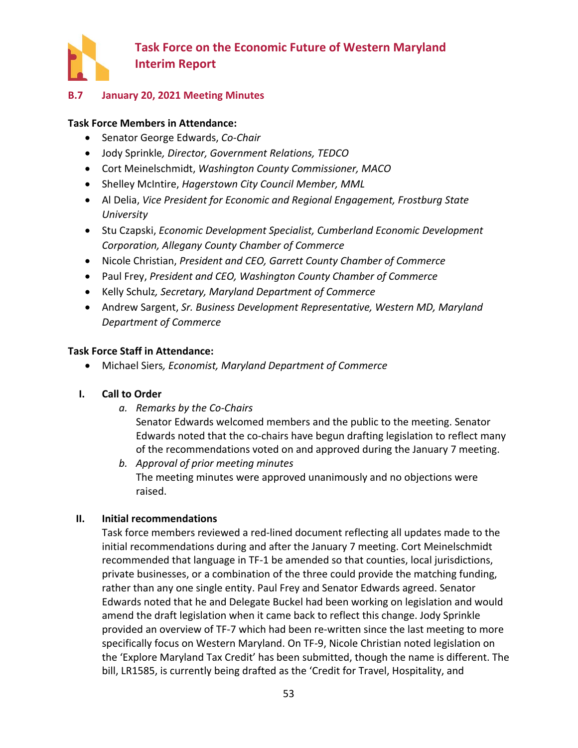

### <span id="page-55-0"></span>**B.7 January 20, 2021 Meeting Minutes**

#### **Task Force Members in Attendance:**

- Senator George Edwards, *Co-Chair*
- Jody Sprinkle*, Director, Government Relations, TEDCO*
- Cort Meinelschmidt, *Washington County Commissioner, MACO*
- Shelley McIntire, *Hagerstown City Council Member, MML*
- Al Delia, *Vice President for Economic and Regional Engagement, Frostburg State University*
- Stu Czapski, *Economic Development Specialist, Cumberland Economic Development Corporation, Allegany County Chamber of Commerce*
- Nicole Christian, *President and CEO, Garrett County Chamber of Commerce*
- Paul Frey, *President and CEO, Washington County Chamber of Commerce*
- Kelly Schulz*, Secretary, Maryland Department of Commerce*
- Andrew Sargent, *Sr. Business Development Representative, Western MD, Maryland Department of Commerce*

#### **Task Force Staff in Attendance:**

• Michael Siers*, Economist, Maryland Department of Commerce*

#### **I. Call to Order**

*a. Remarks by the Co-Chairs*

Senator Edwards welcomed members and the public to the meeting. Senator Edwards noted that the co-chairs have begun drafting legislation to reflect many of the recommendations voted on and approved during the January 7 meeting.

*b. Approval of prior meeting minutes* The meeting minutes were approved unanimously and no objections were raised.

#### **II. Initial recommendations**

Task force members reviewed a red-lined document reflecting all updates made to the initial recommendations during and after the January 7 meeting. Cort Meinelschmidt recommended that language in TF-1 be amended so that counties, local jurisdictions, private businesses, or a combination of the three could provide the matching funding, rather than any one single entity. Paul Frey and Senator Edwards agreed. Senator Edwards noted that he and Delegate Buckel had been working on legislation and would amend the draft legislation when it came back to reflect this change. Jody Sprinkle provided an overview of TF-7 which had been re-written since the last meeting to more specifically focus on Western Maryland. On TF-9, Nicole Christian noted legislation on the 'Explore Maryland Tax Credit' has been submitted, though the name is different. The bill, LR1585, is currently being drafted as the 'Credit for Travel, Hospitality, and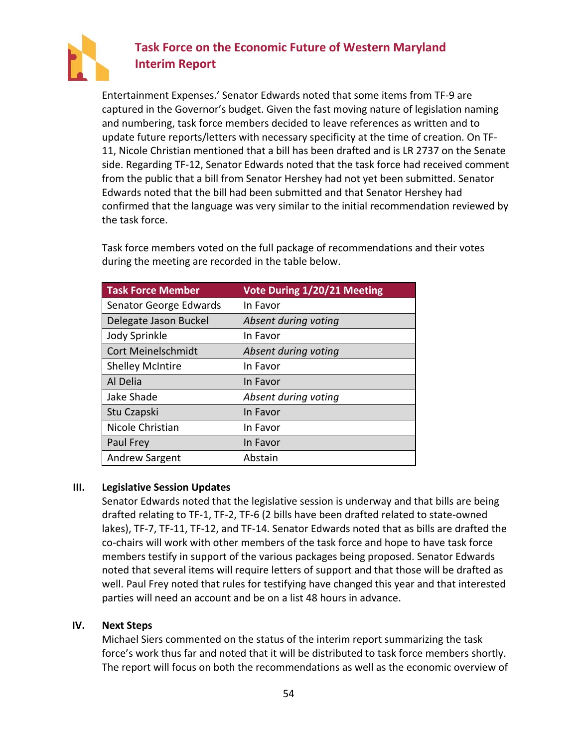

Entertainment Expenses.' Senator Edwards noted that some items from TF-9 are captured in the Governor's budget. Given the fast moving nature of legislation naming and numbering, task force members decided to leave references as written and to update future reports/letters with necessary specificity at the time of creation. On TF-11, Nicole Christian mentioned that a bill has been drafted and is LR 2737 on the Senate side. Regarding TF-12, Senator Edwards noted that the task force had received comment from the public that a bill from Senator Hershey had not yet been submitted. Senator Edwards noted that the bill had been submitted and that Senator Hershey had confirmed that the language was very similar to the initial recommendation reviewed by the task force.

Task force members voted on the full package of recommendations and their votes during the meeting are recorded in the table below.

| <b>Task Force Member</b>  | Vote During 1/20/21 Meeting |
|---------------------------|-----------------------------|
| Senator George Edwards    | In Favor                    |
| Delegate Jason Buckel     | Absent during voting        |
| Jody Sprinkle             | In Favor                    |
| <b>Cort Meinelschmidt</b> | Absent during voting        |
| <b>Shelley McIntire</b>   | In Favor                    |
| Al Delia                  | In Favor                    |
| Jake Shade                | Absent during voting        |
| Stu Czapski               | In Favor                    |
| Nicole Christian          | In Favor                    |
| Paul Frey                 | In Favor                    |
| <b>Andrew Sargent</b>     | Abstain                     |

#### **III. Legislative Session Updates**

Senator Edwards noted that the legislative session is underway and that bills are being drafted relating to TF-1, TF-2, TF-6 (2 bills have been drafted related to state-owned lakes), TF-7, TF-11, TF-12, and TF-14. Senator Edwards noted that as bills are drafted the co-chairs will work with other members of the task force and hope to have task force members testify in support of the various packages being proposed. Senator Edwards noted that several items will require letters of support and that those will be drafted as well. Paul Frey noted that rules for testifying have changed this year and that interested parties will need an account and be on a list 48 hours in advance.

#### **IV. Next Steps**

Michael Siers commented on the status of the interim report summarizing the task force's work thus far and noted that it will be distributed to task force members shortly. The report will focus on both the recommendations as well as the economic overview of